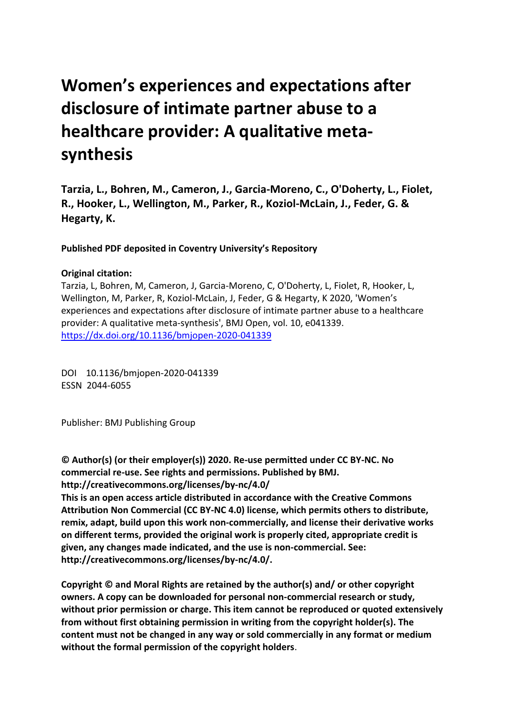## **Women's experiences and expectations after disclosure of intimate partner abuse to a healthcare provider: A qualitative metasynthesis**

**Tarzia, L., Bohren, M., Cameron, J., Garcia-Moreno, C., O'Doherty, L., Fiolet, R., Hooker, L., Wellington, M., Parker, R., Koziol-McLain, J., Feder, G. & Hegarty, K.** 

**Published PDF deposited in Coventry University's Repository** 

### **Original citation:**

Tarzia, L, Bohren, M, Cameron, J, Garcia-Moreno, C, O'Doherty, L, Fiolet, R, Hooker, L, Wellington, M, Parker, R, Koziol-McLain, J, Feder, G & Hegarty, K 2020, 'Women's experiences and expectations after disclosure of intimate partner abuse to a healthcare provider: A qualitative meta-synthesis', BMJ Open, vol. 10, e041339. https://dx.doi.org/10.1136/bmjopen-2020-041339

 DOI 10.1136/bmjopen-2020-041339 ESSN 2044-6055

Publisher: BMJ Publishing Group

**© Author(s) (or their employer(s)) 2020. Re-use permitted under CC BY-NC. No commercial re-use. See rights and permissions. Published by BMJ. http://creativecommons.org/licenses/by-nc/4.0/ This is an open access article distributed in accordance with the Creative Commons Attribution Non Commercial (CC BY-NC 4.0) license, which permits others to distribute, remix, adapt, build upon this work non-commercially, and license their derivative works on different terms, provided the original work is properly cited, appropriate credit is given, any changes made indicated, and the use is non-commercial. See: http://creativecommons.org/licenses/by-nc/4.0/.** 

**Copyright © and Moral Rights are retained by the author(s) and/ or other copyright owners. A copy can be downloaded for personal non-commercial research or study, without prior permission or charge. This item cannot be reproduced or quoted extensively from without first obtaining permission in writing from the copyright holder(s). The content must not be changed in any way or sold commercially in any format or medium without the formal permission of the copyright holders**.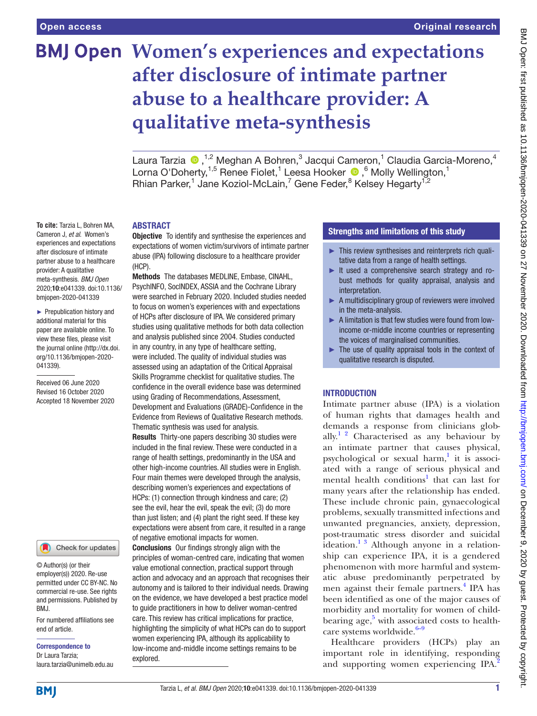**To cite:** Tarzia L, Bohren MA, Cameron J, *et al*. Women's experiences and expectations after disclosure of intimate partner abuse to a healthcare provider: A qualitative meta-synthesis. *BMJ Open*  2020;10:e041339. doi:10.1136/ bmjopen-2020-041339 ► Prepublication history and additional material for this paper are available online. To view these fles, please visit the journal online (http://dx.doi. org/10.1136/bmjopen-2020-

041339).

Received 06 June 2020 Revised 16 October 2020 Accepted 18 November 2020

# **BMJ Open Women's experiences and expectations after disclosure of intimate partner abuse to a healthcare provider: A qualitative meta-synthesis**

Laura Tarzia  $\bigcirc$ , <sup>1,2</sup> Meghan A Bohren,<sup>3</sup> Jacqui Cameron,<sup>1</sup> Claudia Garcia-Moreno,<sup>4</sup> Lorna O'Doherty,<sup>1,5</sup> Renee Fiolet,<sup>1</sup> Leesa Hooker <sup>1</sup>,<sup>6</sup> Molly Wellington,<sup>1</sup> Rhian Parker,<sup>1</sup> Jane Koziol-McLain,<sup>7</sup> Gene Feder,<sup>8</sup> Kelsey Hegarty<sup>1,2</sup>

#### ABSTRACT

**Objective** To identify and synthesise the experiences and expectations of women victim/survivors of intimate partner abuse (IPA) following disclosure to a healthcare provider (HCP).

 using Grading of Recommendations, Assessment, Methods The databases MEDLINE, Embase, CINAHL, PsychINFO, SocINDEX, ASSIA and the Cochrane Library were searched in February 2020. Included studies needed to focus on women's experiences with and expectations of HCPs after disclosure of IPA. We considered primary studies using qualitative methods for both data collection and analysis published since 2004. Studies conducted in any country, in any type of healthcare setting, were included. The quality of individual studies was assessed using an adaptation of the Critical Appraisal Skills Programme checklist for qualitative studies. The confidence in the overall evidence base was determined Development and Evaluations (GRADE)-Confdence in the Evidence from Reviews of Qualitative Research methods. Thematic synthesis was used for analysis.

Results Thirty-one papers describing 30 studies were included in the final review. These were conducted in a range of health settings, predominantly in the USA and other high-income countries. All studies were in English. Four main themes were developed through the analysis, describing women's experiences and expectations of HCPs: (1) connection through kindness and care; (2) see the evil, hear the evil, speak the evil; (3) do more than just listen; and (4) plant the right seed. If these key expectations were absent from care, it resulted in a range of negative emotional impacts for women.

 low-income and-middle income settings remains to be **Conclusions** Our findings strongly align with the principles of woman-centred care, indicating that women value emotional connection, practical support through action and advocacy and an approach that recognises their autonomy and is tailored to their individual needs. Drawing on the evidence, we have developed a best practice model to guide practitioners in how to deliver woman-centred care. This review has critical implications for practice, highlighting the simplicity of what HCPs can do to support women experiencing IPA, although its applicability to explored.

#### Strengths and limitations of this study

- ► This review synthesises and reinterprets rich qualitative data from a range of health settings.
- ► It used a comprehensive search strategy and robust methods for quality appraisal, analysis and interpretation.
- ▶ A multidisciplinary group of reviewers were involved in the meta-analysis.
- ► A limitation is that few studies were found from lowincome or-middle income countries or representing the voices of marginalised communities.
- ► The use of quality appraisal tools in the context of qualitative research is disputed.

#### **INTRODUCTION**

Intimate partner abuse (IPA) is a violation of human rights that damages health and demands a response from clinicians globally.<sup>1 2</sup> Characterised as any behaviour by an intimate partner that causes physical, psychological or sexual harm,<sup>[1](#page-22-0)</sup> it is associated with a range of serious physical and mental health conditions<sup>[1](#page-22-0)</sup> that can last for many years after the relationship has ended. These include chronic pain, gynaecological problems, sexually transmitted infections and unwanted pregnancies, anxiety, depression, post-traumatic stress disorder and suicidal ideation.<sup>13</sup> Although anyone in a relationship can experience IPA, it is a gendered phenomenon with more harmful and systematic abuse predominantly perpetrated by men against their female partners.<sup>[4](#page-22-1)</sup> IPA has been identified as one of the major causes of morbidity and mortality for women of childbearing  $age<sup>5</sup>$  $age<sup>5</sup>$  $age<sup>5</sup>$  with associated costs to healthcare systems worldwide. $6-9$ 

Healthcare providers (HCPs) play an important role in identifying, responding and supporting women experiencing IPA.<sup>2</sup>

**BMI** 

end of article.

BMJ.

Correspondence to Dr Laura Tarzia;

© Author(s) (or their employer(s)) 2020. Re-use permitted under CC BY-NC. No commercial re-use. See rights and permissions. Published by

For numbered affliations see

Check for updates

laura.tarzia@unimelb.edu.au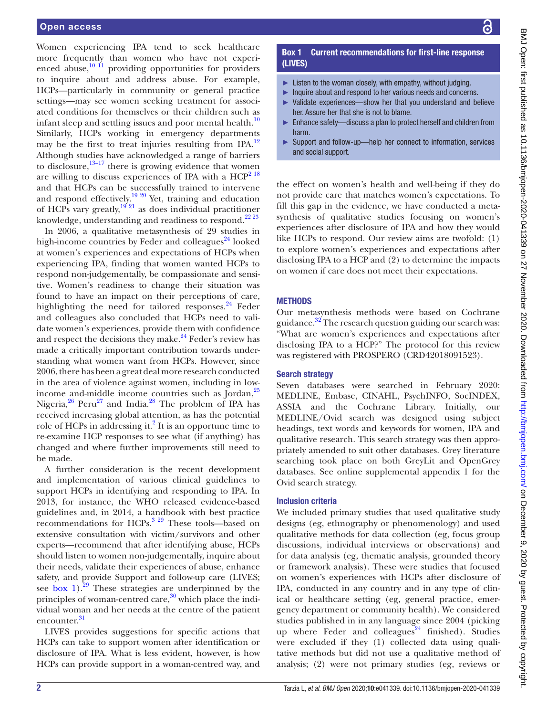Women experiencing IPA tend to seek healthcare more frequently than women who have not experienced abuse,<sup>10 11</sup> providing opportunities for providers to inquire about and address abuse. For example, HCPs—particularly in community or general practice settings—may see women seeking treatment for associated conditions for themselves or their children such as infant sleep and settling issues and poor mental health.<sup>10</sup> Similarly, HCPs working in emergency departments may be the first to treat injuries resulting from IPA.<sup>12</sup> Although studies have acknowledged a range of barriers to disclosure, $13-17$  there is growing evidence that women are willing to discuss experiences of IPA with a  $HCP<sup>218</sup>$ and that HCPs can be successfully trained to intervene and respond effectively.<sup>[19 20](#page-22-8)</sup> Yet, training and education of HCPs vary greatly, $19^{21}$  as does individual practitioner knowledge, understanding and readiness to respond.<sup>22 23</sup>

In 2006, a qualitative metasynthesis of 29 studies in high-income countries by Feder and colleagues $^{24}$  looked at women's experiences and expectations of HCPs when experiencing IPA, finding that women wanted HCPs to respond non-judgementally, be compassionate and sensitive. Women's readiness to change their situation was found to have an impact on their perceptions of care, highlighting the need for tailored responses. $^{24}$  $^{24}$  $^{24}$  Feder and colleagues also concluded that HCPs need to validate women's experiences, provide them with confidence and respect the decisions they make.<sup>[24](#page-22-10)</sup> Feder's review has made a critically important contribution towards understanding what women want from HCPs. However, since 2006, there has been a great deal more research conducted in the area of violence against women, including in lowincome and-middle income countries such as Jordan, $^{25}$  $^{25}$  $^{25}$ Nigeria, $^{26}$  $^{26}$  $^{26}$  Peru<sup>27</sup> and India.<sup>28</sup> The problem of IPA has received increasing global attention, as has the potential role of HCPs in addressing it.<sup>2</sup> It is an opportune time to re-examine HCP responses to see what (if anything) has changed and where further improvements still need to be made.

A further consideration is the recent development and implementation of various clinical guidelines to support HCPs in identifying and responding to IPA. In 2013, for instance, the WHO released evidence-based guidelines and, in 2014, a handbook with best practice recommendations for HCPs.<sup>3 29</sup> These tools—based on extensive consultation with victim/survivors and other experts—recommend that after identifying abuse, HCPs should listen to women non-judgementally, inquire about their needs, validate their experiences of abuse, enhance safety, and provide Support and follow-up care (LIVES; see [box 1\)](#page-2-0).<sup>29</sup> These strategies are underpinned by the principles of woman-centred care, $30$  which place the individual woman and her needs at the centre of the patient encounter.<sup>31</sup>

LIVES provides suggestions for specific actions that HCPs can take to support women after identification or disclosure of IPA. What is less evident, however, is how HCPs can provide support in a woman-centred way, and

### Box 1 Current recommendations for first-line response (LIVES)

- <span id="page-2-0"></span> $\blacktriangleright$  Listen to the woman closely, with empathy, without judging.
- Inquire about and respond to her various needs and concerns.
- ► Validate experiences—show her that you understand and believe her. Assure her that she is not to blame.
- Enhance safety-discuss a plan to protect herself and children from harm.
- ► Support and follow-up—help her connect to information, services and social support.

the effect on women's health and well-being if they do not provide care that matches women's expectations. To fill this gap in the evidence, we have conducted a metasynthesis of qualitative studies focusing on women's experiences after disclosure of IPA and how they would like HCPs to respond. Our review aims are twofold: (1) to explore women's experiences and expectations after disclosing IPA to a HCP and (2) to determine the impacts on women if care does not meet their expectations.

#### **METHODS**

Our metasynthesis methods were based on Cochrane guidance. $32$  The research question guiding our search was: "What are women's experiences and expectations after disclosing IPA to a HCP?" The protocol for this review was registered with PROSPERO (CRD42018091523).

#### Search strategy

Seven databases were searched in February 2020: MEDLINE, Embase, CINAHL, PsychINFO, SocINDEX, ASSIA and the Cochrane Library. Initially, our MEDLINE/Ovid search was designed using subject headings, text words and keywords for women, IPA and qualitative research. This search strategy was then appropriately amended to suit other databases. Grey literature searching took place on both GreyLit and OpenGrey databases. See [online supplemental appendix 1](https://dx.doi.org/10.1136/bmjopen-2020-041339) for the Ovid search strategy.

#### Inclusion criteria

We included primary studies that used qualitative study designs (eg, ethnography or phenomenology) and used qualitative methods for data collection (eg, focus group discussions, individual interviews or observations) and for data analysis (eg, thematic analysis, grounded theory or framework analysis). These were studies that focused on women's experiences with HCPs after disclosure of IPA, conducted in any country and in any type of clinical or healthcare setting (eg, general practice, emergency department or community health). We considered studies published in in any language since 2004 (picking up where Feder and colleagues $^{24}$  finished). Studies were excluded if they (1) collected data using qualitative methods but did not use a qualitative method of analysis; (2) were not primary studies (eg, reviews or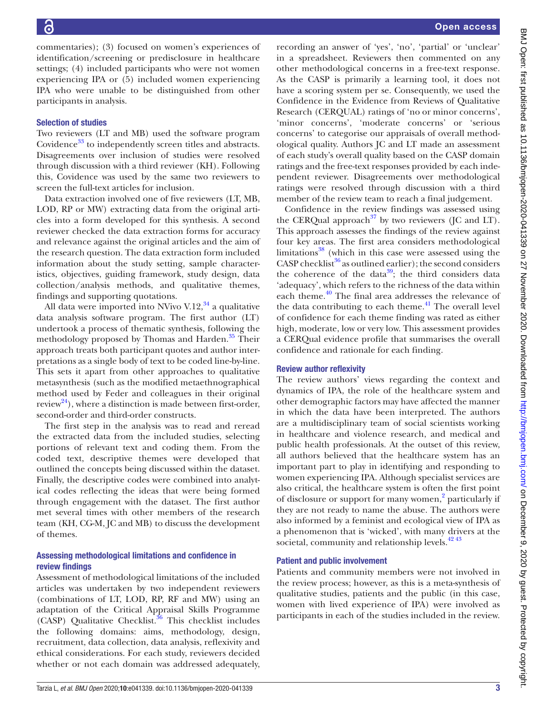commentaries); (3) focused on women's experiences of identification/screening or predisclosure in healthcare settings; (4) included participants who were not women experiencing IPA or (5) included women experiencing IPA who were unable to be distinguished from other participants in analysis.

#### Selection of studies

Two reviewers (LT and MB) used the software program Covidence<sup>[33](#page-22-20)</sup> to independently screen titles and abstracts. Disagreements over inclusion of studies were resolved through discussion with a third reviewer (KH). Following this, Covidence was used by the same two reviewers to screen the full-text articles for inclusion.

Data extraction involved one of five reviewers (LT, MB, LOD, RP or MW) extracting data from the original articles into a form developed for this synthesis. A second reviewer checked the data extraction forms for accuracy and relevance against the original articles and the aim of the research question. The data extraction form included information about the study setting, sample characteristics, objectives, guiding framework, study design, data collection/analysis methods, and qualitative themes, findings and supporting quotations.

 pretations as a single body of text to be coded line-by-line. All data were imported into NVivo V.12, $34$  a qualitative data analysis software program. The first author (LT) undertook a process of thematic synthesis, following the methodology proposed by Thomas and Harden.<sup>35</sup> Their approach treats both participant quotes and author inter-This sets it apart from other approaches to qualitative metasynthesis (such as the modified metaethnographical method used by Feder and colleagues in their original review<sup>24</sup>), where a distinction is made between first-order, second-order and third-order constructs.

The first step in the analysis was to read and reread the extracted data from the included studies, selecting portions of relevant text and coding them. From the coded text, descriptive themes were developed that outlined the concepts being discussed within the dataset. Finally, the descriptive codes were combined into analytical codes reflecting the ideas that were being formed through engagement with the dataset. The first author met several times with other members of the research team (KH, CG-M, JC and MB) to discuss the development of themes.

#### Assessing methodological limitations and confdence in review findings

Assessment of methodological limitations of the included articles was undertaken by two independent reviewers (combinations of LT, LOD, RP, RF and MW) using an adaptation of the Critical Appraisal Skills Programme (CASP) Qualitative Checklist.<sup>[36](#page-22-23)</sup> This checklist includes the following domains: aims, methodology, design, recruitment, data collection, data analysis, reflexivity and ethical considerations. For each study, reviewers decided whether or not each domain was addressed adequately,

recording an answer of 'yes', 'no', 'partial' or 'unclear' in a spreadsheet. Reviewers then commented on any other methodological concerns in a free-text response. As the CASP is primarily a learning tool, it does not have a scoring system per se. Consequently, we used the Confidence in the Evidence from Reviews of Qualitative Research (CERQUAL) ratings of 'no or minor concerns', 'minor concerns', 'moderate concerns' or 'serious concerns' to categorise our appraisals of overall methodological quality. Authors JC and LT made an assessment of each study's overall quality based on the CASP domain ratings and the free-text responses provided by each independent reviewer. Disagreements over methodological ratings were resolved through discussion with a third member of the review team to reach a final judgement.

Confidence in the review findings was assessed using the CERQual approach<sup>37</sup> by two reviewers (JC and LT). This approach assesses the findings of the review against four key areas. The first area considers methodological limitations $38$  (which in this case were assessed using the CASP checklist $36$  as outlined earlier); the second considers the coherence of the data<sup>39</sup>; the third considers data 'adequacy', which refers to the richness of the data within each theme.<sup>40</sup> The final area addresses the relevance of the data contributing to each theme. $^{41}$  The overall level of confidence for each theme finding was rated as either high, moderate, low or very low. This assessment provides a CERQual evidence profile that summarises the overall confidence and rationale for each finding.

#### **Review author reflexivity**

The review authors' views regarding the context and dynamics of IPA, the role of the healthcare system and other demographic factors may have affected the manner in which the data have been interpreted. The authors are a multidisciplinary team of social scientists working in healthcare and violence research, and medical and public health professionals. At the outset of this review, all authors believed that the healthcare system has an important part to play in identifying and responding to women experiencing IPA. Although specialist services are also critical, the healthcare system is often the first point of disclosure or support for many women,<sup>2</sup> particularly if they are not ready to name the abuse. The authors were also informed by a feminist and ecological view of IPA as a phenomenon that is 'wicked', with many drivers at the societal, community and relationship levels. $42\frac{43}{12}$ 

#### Patient and public involvement

Patients and community members were not involved in the review process; however, as this is a meta-synthesis of qualitative studies, patients and the public (in this case, women with lived experience of IPA) were involved as participants in each of the studies included in the review.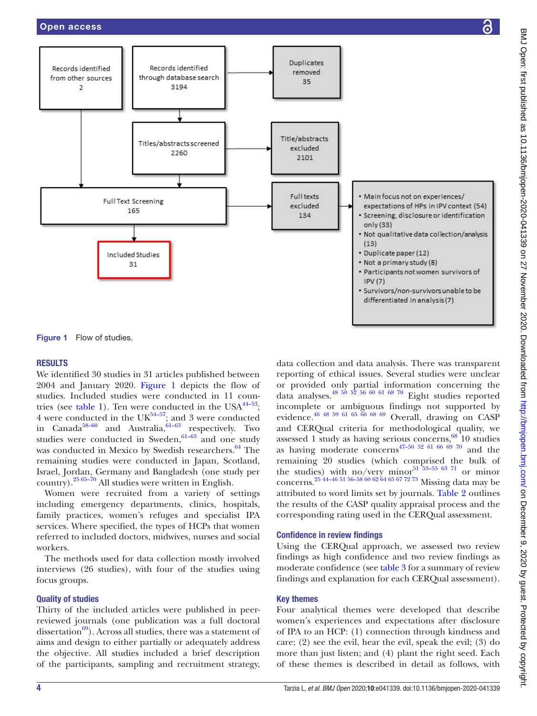

<span id="page-4-0"></span>Figure 1 Flow of studies.

#### **RESULTS**

We identified 30 studies in 31 articles published between 2004 and January 2020. [Figure 1](#page-4-0) depicts the flow of studies. Included studies were conducted in 11 countries (see [table 1](#page-5-0)). Ten were conducted in the  $USA^{44-53}$ ; 4 were conducted in the UK $^{54-57}$ ; and 3 were conducted in Canada<sup>58–60</sup> and Australia,  $61-63$  respectively. Two studies were conducted in Sweden, $61-63$  and one study was conducted in Mexico by Swedish researchers.<sup>[64](#page-23-3)</sup> The remaining studies were conducted in Japan, Scotland, Israel, Jordan, Germany and Bangladesh (one study per country)[.25 65–70](#page-22-11) All studies were written in English.

Women were recruited from a variety of settings including emergency departments, clinics, hospitals, family practices, women's refuges and specialist IPA services. Where specified, the types of HCPs that women referred to included doctors, midwives, nurses and social workers.

The methods used for data collection mostly involved interviews (26 studies), with four of the studies using focus groups.

#### Quality of studies

Thirty of the included articles were published in peerreviewed journals (one publication was a full doctoral dissertation $^{69}$ ). Across all studies, there was a statement of aims and design to either partially or adequately address the objective. All studies included a brief description of the participants, sampling and recruitment strategy,

data collection and data analysis. There was transparent reporting of ethical issues. Several studies were unclear or provided only partial information concerning the data analyses.<sup>48 50 52 56 60 61 68 70</sup> Eight studies reported incomplete or ambiguous findings not supported by evidence.<sup>46 48 59 61 65 66 68 69</sup> Overall, drawing on CASP and CERQual criteria for methodological quality, we assessed 1 study as having serious concerns,<sup>68</sup> 10 studies as having moderate concerns<sup>47–50 52 61 66 69 70</sup> and the remaining 20 studies (which comprised the bulk of the studies) with no/very minor<sup>51 53–55 63 71</sup> or minor [25 44–46 51 56–58 60 62 64 65 67 72 73](#page-22-11) concerns. Missing data may be attributed to word limits set by journals. [Table 2](#page-7-0) outlines the results of the CASP quality appraisal process and the corresponding rating used in the CERQual assessment.

#### **Confidence in review findings**

Using the CERQual approach, we assessed two review findings as high confidence and two review findings as moderate confidence (see [table 3](#page-10-0) for a summary of review findings and explanation for each CERQual assessment).

#### Key themes

Four analytical themes were developed that describe women's experiences and expectations after disclosure of IPA to an HCP: (1) connection through kindness and care; (2) see the evil, hear the evil, speak the evil; (3) do more than just listen; and (4) plant the right seed. Each of these themes is described in detail as follows, with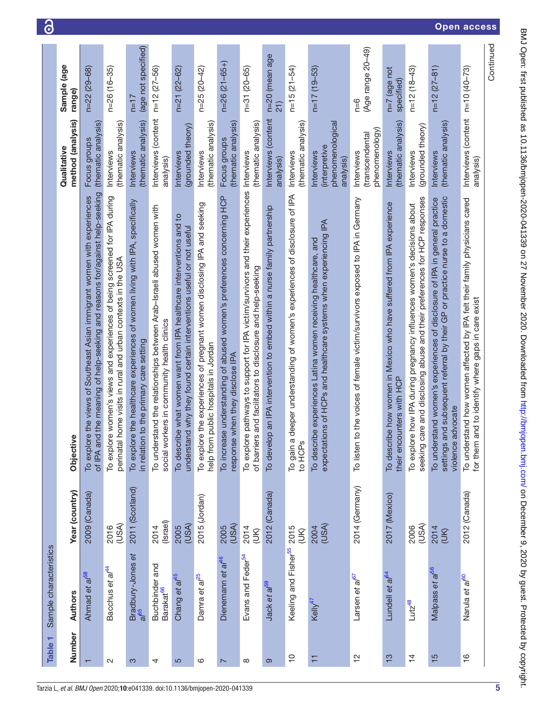<span id="page-5-0"></span>

| Table 1           | Sample characteristics                  |                                   |                                                                                                                                                                                    |                                                              |                               |
|-------------------|-----------------------------------------|-----------------------------------|------------------------------------------------------------------------------------------------------------------------------------------------------------------------------------|--------------------------------------------------------------|-------------------------------|
| Number            | <b>Authors</b>                          | Year (country)                    | Objective                                                                                                                                                                          | method (analysis)<br>Qualitative                             | Sample (age<br>range)         |
|                   | Ahmad et a/ <sup>58</sup>               | 2009 (Canada)                     | of IPA and the meaning of help-seeking and reasons for/against help-seeking<br>e the views of Southeast Asian immigrant women with experiences<br>To explor                        | (thematic analysis)<br>Focus groups                          | $n=22(29-68)$                 |
| $\mathbf{\Omega}$ | Bacchus et al <sup>44</sup>             | (USA)<br>2016                     | To explore women's views and experiences of being screened for IPA during<br>home visits in rural and urban contexts in the USA<br>perinatal                                       | (thematic analysis)<br>Interviews                            | n=26 (16-35)                  |
| က                 | Bradbury-Jones et<br>a/ <sup>65</sup>   | 2011 (Scotland)                   | To explore the healthcare experiences of women living with IPA, specifically<br>in relation to the primary care setting                                                            | (thematic analysis)<br>Interviews                            | (age not specified)<br>$n=17$ |
| 4                 | Buchbinder and<br>Barakat <sup>66</sup> | (Israel)<br>2014                  | To understand the relationships between Arab-Israeli abused women with<br>social workers in community health clinics                                                               | Interviews (content<br>analysis)                             | $n=12(27-56)$                 |
| 5                 | Chang et a/ <sup>45</sup>               | (USA)<br>2005                     | To describe what women want from IPA healthcare interventions and to<br>understand why they found certain interventions useful or not useful                                       | (grounded theory)<br>Interviews                              | $n=21(22-62)$                 |
| ဖ                 | Damra et al <sup>25</sup>               | 2015 (Jordan)                     | To explore the experiences of pregnant women disclosing IPA and seeking<br>help from public hospitals in Jordan                                                                    | (thematic analysis)<br>Interviews                            | n=25 (20-42)                  |
| $\overline{ }$    | Dienemann et al <sup>46</sup>           | (USA)<br>2005                     | To increase understanding of abused women's preferences concerning HCP<br>when they disclose IPA<br>response                                                                       | (thematic analysis)<br>Focus groups                          | $n=26(21-65+)$                |
| $\infty$          | Evans and Feder <sup>54</sup>           | 2014<br>$\widetilde{\mathcal{L}}$ | To explore pathways to support for IPA victim/survivors and their experiences<br>of barriers and facilitators to disclosure and help-seeking                                       | (thematic analysis)<br>Interviews                            | $n = 31(20 - 65)$             |
| ၜ                 | Jack et a/ <sup>59</sup>                | 2012 (Canada)                     | To develop an IPA intervention to embed within a nurse family partnership                                                                                                          | Interviews (content<br>analysis)                             | n=20 (mean age<br>21)         |
| $\overline{C}$    | Keeling and Fisher <sup>55</sup>        | 2015<br><b>SCIP</b>               | deeper understanding of women's experiences of disclosure of IPA<br>To gain a<br>to HCPs                                                                                           | (thematic analysis)<br>Interviews                            | $n=15(21-54)$                 |
| Ξ                 | Kelly <sup>47</sup>                     | (USA)<br>2004                     | expectations of HCPs and healthcare systems when experiencing IPA<br>To describe experiences Latina women receiving healthcare, and                                                | phenomenological<br>(interpretive<br>Interviews<br>analysis) | $n=17(19-53)$                 |
| $\frac{1}{2}$     | Larsen et al <sup>67</sup>              | 2014 (Germany)                    | To listen to the voices of female victim/survivors exposed to IPA in Germany                                                                                                       | phenomenology)<br>(transcendental<br>Interviews              | (Age range 20-49)<br>$n=6$    |
| 13                | Lundell et a/ <sup>64</sup>             | 2017 (Mexico)                     | To describe how women in Mexico who have suffered from IPA experience<br>their encounters with HCP                                                                                 | (thematic analysis)<br>Interviews                            | n=7 (age not<br>specified)    |
| $\overline{4}$    | $Lutz^{48}$                             | (USA)<br>2006                     | seeking care and disclosing abuse and their preferences for HCP responses<br>To explore how IPA during pregnancy influences women's decisions about                                | (grounded theory)<br>Interviews                              | $n=12(18-43)$                 |
| $\frac{5}{1}$     | Malpass et a/ <sup>56</sup>             | 2014<br><b>SCI</b>                | settings and subsequent referral by their GP or practice nurse to a domestic<br>To understand women's experiences of disclosure of IPA in general practice<br>advocate<br>violence | (thematic analysis)<br>Interviews                            | $n=12(27-81)$                 |
| $\frac{6}{1}$     | Narula et al <sup>60</sup>              | 2012 (Canada)                     | To understand how women affected by IPA felt their family physicians cared<br>and to identify where gaps in care exist<br>for them                                                 | Interviews (content $n=10$ (40-73)<br>analysis)              |                               |
|                   |                                         |                                   |                                                                                                                                                                                    |                                                              | Continued                     |

Open access

<u>င်</u>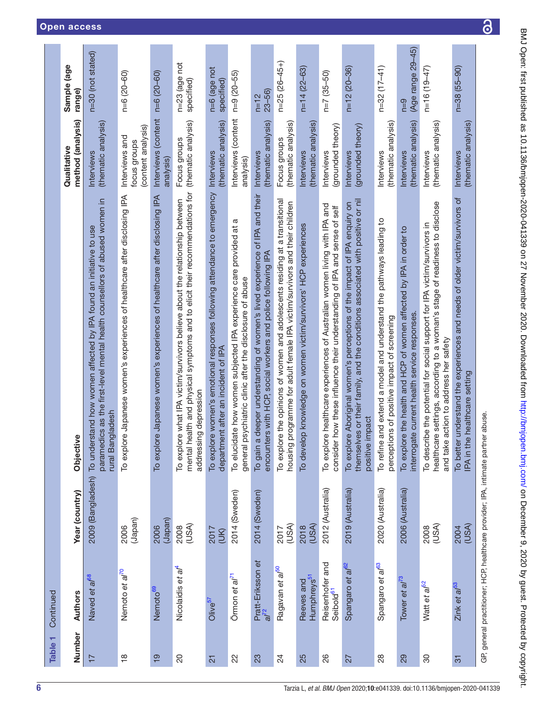| Table 1         | Continued                                                                        |                   |                                                                                                                                                                                                 |                                                      |                              |
|-----------------|----------------------------------------------------------------------------------|-------------------|-------------------------------------------------------------------------------------------------------------------------------------------------------------------------------------------------|------------------------------------------------------|------------------------------|
| Number          | Authors                                                                          | Year (country)    | <u>s</u><br>Objecti                                                                                                                                                                             | method (analysis)<br>Qualitative                     | Sample (age<br>range)        |
| $\overline{1}$  | Naved et al <sup>68</sup>                                                        | 2009 (Bangladesh) | paramedics as the first-level mental health counsellors of abused women in<br>To understand how women affected by IPA found an initiative to use<br>rural Bangladesh                            | (thematic analysis)<br>Interviews                    | n=30 (not stated)            |
| $\frac{8}{10}$  | Nemoto et al <sup>70</sup>                                                       | (Japan)<br>2006   | To explore Japanese women's experiences of healthcare after disclosing IPA                                                                                                                      | (content analysis)<br>Interviews and<br>focus groups | $n=6(20-60)$                 |
| $\overline{19}$ | Nemoto <sup>69</sup>                                                             | (Japan)<br>2006   | ore Japanese women's experiences of healthcare after disclosing IPA<br>To expl                                                                                                                  | Interviews (content<br>analysis)                     | $n=6(20-60)$                 |
| $\overline{20}$ | Nicolaidis et al <sup>4</sup>                                                    | 2008<br>(USA)     | health and physical symptoms and to elicit their recommendations for<br>To explore what IPA victim/survivors believe about the relationship between<br>addressing depression<br>mental          | (thematic analysis)<br>Focus groups                  | n=23 (age not<br>specified)  |
| $\overline{2}$  | Olive <sup>57</sup>                                                              | 2017<br>(X)       | To explore women's emotional responses following attendance to emergency<br>department after an incident of IPA                                                                                 | (thematic analysis)<br>Interviews                    | n=6 (age not<br>specified)   |
| 22              | Örmon et al <sup>71</sup>                                                        | 2014 (Sweden)     | a<br>To elucidate how women subjected IPA experience care provided at<br>psychiatric clinic after the disclosure of abuse<br>general                                                            | Interviews (content<br>analysis)                     | $n=9(20-55)$                 |
| 23              | Pratt-Eriksson et<br>$a^{72}$                                                    | 2014 (Sweden)     | a deeper understanding of women's lived experience of IPA and their<br>encounters with HCP, social workers and police following IPA<br>To gain                                                  | (thematic analysis)<br>Interviews                    | $23 - 56$<br>$n=12$          |
| $\overline{2}$  | Ragavan et al <sup>50</sup>                                                      | (USA)<br>2017     | To explore the opinions of women and adolescents residing at a transitional<br>housing programme for adult female IPA victim/survivors and their children                                       | (thematic analysis)<br>Focus groups                  | $n=25(26-45+)$               |
| 25              | Humphreys <sup>51</sup><br>Reeves and                                            | (USA)<br>2018     | To develop knowledge on women victim/survivors' HCP experiences                                                                                                                                 | (thematic analysis)<br>Interviews                    | $n=14(22-63)$                |
| 26              | Reisenhofer and<br>Seibold <sup>61</sup>                                         | 2012 (Australia)  | To explore healthcare experiences of Australian women living with IPA and<br>consider how these influence their understanding of IPA and sense of self                                          | (grounded theory)<br>Interviews                      | $n=7(35-50)$                 |
| 27              | Spangaro et al <sup>62</sup>                                                     | 2019 (Australia)  | themselves or their family, and the conditions associated with positive or nil<br>To explore Aboriginal women's perceptions of the impact of IPA enquiry on<br>positive impact                  | (grounded theory)<br>Interviews                      | $n=12(20-36)$                |
| $^{28}$         | Spangaro et al <sup>63</sup>                                                     | 2020 (Australia)  | To refine and extend a model and understand the pathways leading to<br>perceptions of positive impact of screening                                                                              | (thematic analysis)<br>Interviews                    | $n=32(17-41)$                |
| 29              | Tower et al <sup>73</sup>                                                        | 2006 (Australia)  | To explore the health and HCP of women affected by IPA in order to<br>interrogate current health service responses.                                                                             | (thematic analysis)<br>Interviews                    | (Age range 29-45)<br>$n = 9$ |
| 80              | Watt et al <sup>52</sup>                                                         | (USA)<br>2008     | healthcare settings, according to a woman's stage of readiness to disclose<br>To describe the potential for social support for IPA victim/survivors in<br>and take action to address her safety | (thematic analysis)<br>Interviews                    | $n=16(19-47)$                |
| $\overline{5}$  | Zink et al <sup>53</sup>                                                         | 2004<br>(USA)     | To better understand the experiences and needs of older victim/survivors of<br>IPA in the healthcare setting                                                                                    | (thematic analysis)<br>Interviews                    | $n = 38(55-90)$              |
|                 | GP, general practitioner; HCP, healthcare provider; IPA, intimate partner abuse. |                   |                                                                                                                                                                                                 |                                                      |                              |

 $\delta$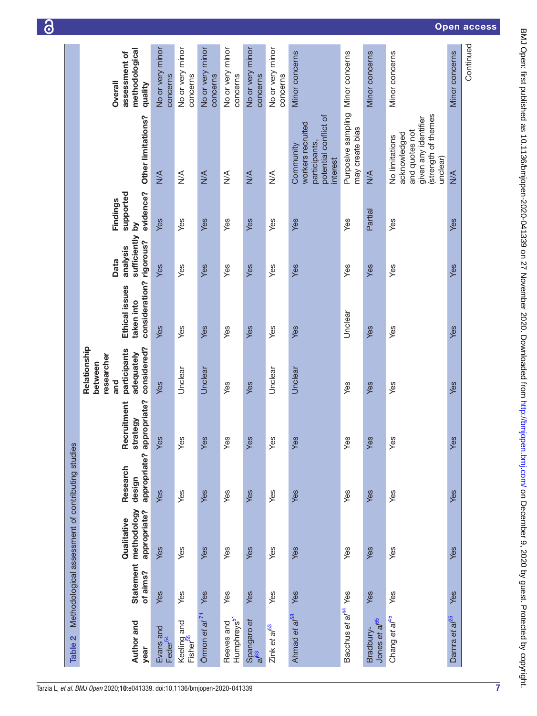<span id="page-7-0"></span>

| Table 2                                |          | Methodological assessment of contributing studies    |                                    |                                         |                                                                                           |                                                          |                                  |                                          |                                                                                                             |                                                              |
|----------------------------------------|----------|------------------------------------------------------|------------------------------------|-----------------------------------------|-------------------------------------------------------------------------------------------|----------------------------------------------------------|----------------------------------|------------------------------------------|-------------------------------------------------------------------------------------------------------------|--------------------------------------------------------------|
| Author and<br>year                     | of aims? | Statement methodology<br>appropriate?<br>Qualitative | appropriate?<br>Research<br>design | appropriate?<br>Recruitment<br>strategy | Relationship<br>considered?<br>participants<br>adequately<br>researcher<br>between<br>and | consideration? rigorous?<br>Ethical issues<br>taken into | sufficiently<br>analysis<br>Data | supported<br>evidence?<br>Findings<br>Σq | Other limitations?                                                                                          | methodological<br>assessment of<br><b>Overall</b><br>quality |
| Evans and<br>Feder <sup>54</sup>       | Yes      | Yes                                                  | Yes                                | Yes                                     | Yes                                                                                       | Yes                                                      | Yes                              | Yes                                      | $\frac{4}{2}$                                                                                               | No or very minor<br>concerns                                 |
| Keeling and<br>Fisher <sup>55</sup>    | Yes      | Yes                                                  | Yes                                | Yes                                     | Unclear                                                                                   | Yes                                                      | Yes                              | Yes                                      | $\stackrel{\triangleleft}{\geq}$                                                                            | No or very minor<br>concerns                                 |
| Örmon et al <sup>71</sup>              | Yes      | Yes                                                  | Yes                                | Yes                                     | Unclear                                                                                   | Yes                                                      | Yes                              | Yes                                      | $\stackrel{\leq}{\geq}$                                                                                     | No or very minor<br>concerns                                 |
| Humphreys <sup>51</sup><br>Reeves and  | Yes      | Yes                                                  | Yes                                | Yes                                     | Yes                                                                                       | Yes                                                      | Yes                              | Yes                                      | $\frac{4}{2}$                                                                                               | No or very minor<br>concerns                                 |
| Spangaro et<br>a/ <sup>63</sup>        | Yes      | Yes                                                  | Yes                                | Yes                                     | Yes                                                                                       | Yes                                                      | Yes                              | Yes                                      | $\frac{4}{\sqrt{2}}$                                                                                        | No or very minor<br>concerns                                 |
| Zink et al <sup>53</sup>               | Yes      | Yes                                                  | Yes                                | Yes                                     | Unclear                                                                                   | Yes                                                      | Yes                              | Yes                                      | $\frac{1}{2}$                                                                                               | No or very minor<br>concerns                                 |
| Ahmad et al <sup>58</sup>              | Yes      | Yes                                                  | Yes                                | Yes                                     | Unclear                                                                                   | Yes                                                      | Yes                              | Yes                                      | potential conflict of<br>workers recruited<br>participants,<br>Community<br><b>interest</b>                 | Minor concerns                                               |
| Bacchus et al <sup>44</sup> Yes        |          | Yes                                                  | Yes                                | Yes                                     | Yes                                                                                       | Unclear                                                  | Yes                              | Yes                                      | Purposive sampling<br>may create bias                                                                       | Minor concerns                                               |
| Jones et al <sup>65</sup><br>Bradbury- | Yes      | Yes                                                  | Yes                                | Yes                                     | Yes                                                                                       | Yes                                                      | Yes                              | Partial                                  | $\frac{4}{2}$                                                                                               | Minor concerns                                               |
| Chang et al <sup>45</sup>              | Yes      | Yes                                                  | Yes                                | Yes                                     | Yes                                                                                       | Yes                                                      | Yes                              | Yes                                      | (strength of themes<br>given any identifier<br>and quotes not<br>acknowledged<br>No limitations<br>unclear) | Minor concerns                                               |
| Damra et a/ <sup>25</sup>              | Yes      | Yes                                                  | Yes                                | Yes                                     | Yes                                                                                       | Yes                                                      | Yes                              | Yes                                      | $\frac{4}{2}$                                                                                               | Minor concerns                                               |
|                                        |          |                                                      |                                    |                                         |                                                                                           |                                                          |                                  |                                          |                                                                                                             | Continued                                                    |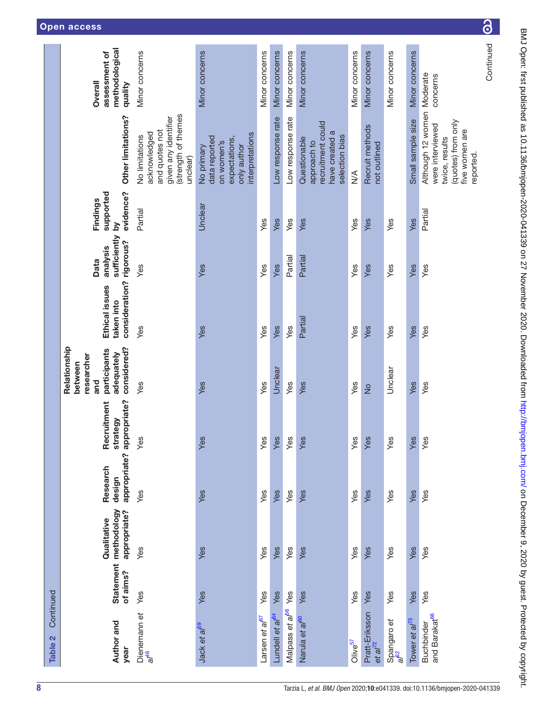| Table 2                                 | Continued |                                                      |                    |                                                      |                                                                                           |                                                |                                               |                                          |                                                                                                                       |                                                       |
|-----------------------------------------|-----------|------------------------------------------------------|--------------------|------------------------------------------------------|-------------------------------------------------------------------------------------------|------------------------------------------------|-----------------------------------------------|------------------------------------------|-----------------------------------------------------------------------------------------------------------------------|-------------------------------------------------------|
| Author and<br>year                      | of aims?  | Statement methodology<br>appropriate?<br>Qualitative | Research<br>design | appropriate? appropriate?<br>Recruitment<br>strategy | Relationship<br>considered?<br>participants<br>adequately<br>researcher<br>between<br>and | consideration?<br>Ethical issues<br>taken into | sufficiently<br>rigorous?<br>analysis<br>Data | supported<br>evidence?<br>Findings<br>Σq | Other limitations?                                                                                                    | methodological<br>assessment of<br>Overall<br>quality |
| Dienemann et<br>$a^{46}$                | Yes       | Yes                                                  | Yes                | Yes                                                  | Yes                                                                                       | Yes                                            | Yes                                           | Partial                                  | strength of themes<br>given any identifier<br>and quotes not<br>acknowledged<br>No limitations<br>unclear)            | Minor concerns                                        |
| Jack et al <sup>59</sup>                | Yes       | Yes                                                  | Yes                | Yes                                                  | Yes                                                                                       | Yes                                            | Yes                                           | Unclear                                  | interpretations<br>data reported<br>expectations,<br>on women's<br>only author<br>No primary                          | Minor concerns                                        |
| Larsen et al <sup>67</sup>              | Yes       | Yes                                                  | Yes                | Yes                                                  | Yes                                                                                       | Yes                                            | Yes                                           | Yes                                      |                                                                                                                       | Minor concerns                                        |
| Lundell et al <sup>64</sup>             | Yes       | Yes                                                  | Yes                | Yes                                                  | Unclear                                                                                   | Yes                                            | Yes                                           | Yes                                      | Low response rate                                                                                                     | Minor concerns                                        |
| Malpass et al <sup>56</sup>             | Yes       | Yes                                                  | Yes                | Yes                                                  | Yes                                                                                       | Yes                                            | Partial                                       | Yes                                      | Low response rate                                                                                                     | Minor concerns                                        |
| Narula et a/ <sup>60</sup>              | Yes       | Yes                                                  | Yes                | Yes                                                  | Yes                                                                                       | Partial                                        | Partial                                       | Yes                                      | recruitment could<br>have created a<br>selection bias<br>Questionable<br>approach to                                  | Minor concerns                                        |
| Olive <sup>57</sup>                     | Yes       | Yes                                                  | Yes                | Yes                                                  | Yes                                                                                       | Yes                                            | Yes                                           | Yes                                      | $\frac{1}{2}$                                                                                                         | Minor concerns                                        |
| Pratt-Eriksson<br>$et$ al <sup>72</sup> | Yes       | Yes                                                  | Yes                | Yes                                                  | $\frac{1}{2}$                                                                             | Yes                                            | Yes                                           | Yes                                      | Recruit methods<br>not outlined                                                                                       | Minor concerns                                        |
| Spangaro et<br>a/ <sup>62</sup>         | Yes       | Yes                                                  | Yes                | Yes                                                  | Unclear                                                                                   | Yes                                            | Yes                                           | Yes                                      |                                                                                                                       | Minor concerns                                        |
| Tower et al <sup>73</sup>               | Yes       | Yes                                                  | Yes                | Yes                                                  | Yes                                                                                       | Yes                                            | Yes                                           | Yes                                      | Small sample size                                                                                                     | Minor concerns                                        |
| and Barakat <sup>66</sup><br>Buchbinder | Yes       | Yes                                                  | Yes                | Yes                                                  | Yes                                                                                       | Yes                                            | Yes                                           | Partial                                  | Although 12 women Moderate<br>(quotes) from only<br>were interviewed<br>five women are<br>twice, results<br>reported. | concerns                                              |
|                                         |           |                                                      |                    |                                                      |                                                                                           |                                                |                                               |                                          |                                                                                                                       | Continued                                             |

BMJ Open: first published as 10.1136/bmjopen-2020-041339 on 27 November 2020. Downloaded from<http://bmjopen.bmj.com/>on December 9, 2020 by guest. Protected by copyright.

BMJ Open: first published as 10.1136/bmjopen-2020-041339 on 27 November 2020. Downloaded from http://bmjopen.bmj.com/ on December 9, 2020 by guest. Protected by copyright.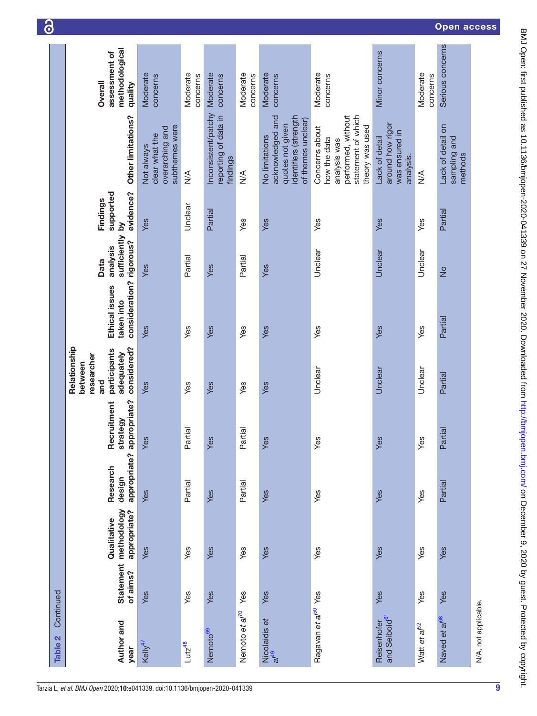| Table 2                                  | Continued |                                                      |                                    |                                         |                                                                                           |                                                |                                               |                                          |                                                                                                               |                                                       |
|------------------------------------------|-----------|------------------------------------------------------|------------------------------------|-----------------------------------------|-------------------------------------------------------------------------------------------|------------------------------------------------|-----------------------------------------------|------------------------------------------|---------------------------------------------------------------------------------------------------------------|-------------------------------------------------------|
| Author and<br>year                       | of aims?  | Statement methodology<br>appropriate?<br>Qualitative | appropriate?<br>Research<br>design | appropriate?<br>Recruitment<br>strategy | Relationship<br>considered?<br>participants<br>adequately<br>researcher<br>between<br>and | consideration?<br>Ethical issues<br>taken into | sufficiently<br>rigorous?<br>analysis<br>Data | evidence?<br>supported<br>Findings<br>λá | Other limitations?                                                                                            | methodological<br>assessment of<br>Overall<br>quality |
| Kelly <sup>47</sup>                      | Yes       | Yes                                                  | Yes                                | Yes                                     | Yes                                                                                       | Yes                                            | Yes                                           | Yes                                      | subthemes were<br>overarching and<br>clear what the<br>Not always                                             | Moderate<br>concerns                                  |
| $Lutz^{48}$                              | Yes       | Yes                                                  | Partial                            | Partial                                 | Yes                                                                                       | Yes                                            | Partial                                       | Unclear                                  | $\frac{1}{2}$                                                                                                 | Moderate<br>concerns                                  |
| Nemoto <sup>69</sup>                     | Yes       | Yes                                                  | Yes                                | Yes                                     | Yes                                                                                       | Yes                                            | Yes                                           | Partial                                  | Inconsistent/patchy<br>reporting of data in<br>findings                                                       | Moderate<br>concerns                                  |
| Nemoto et al <sup>70</sup>               | Yes       | Yes                                                  | Partial                            | Partial                                 | Yes                                                                                       | Yes                                            | Partial                                       | Yes                                      | $\frac{1}{2}$                                                                                                 | Moderate<br>concerns                                  |
| Nicolaidis et<br>al <sup>49</sup>        | Yes       | Yes                                                  | Yes                                | Yes                                     | Yes                                                                                       | Yes                                            | Yes                                           | Yes                                      | identifiers (strength<br>acknowledged and<br>of themes unclear)<br>quotes not given<br>No limitations         | Moderate<br>concerns                                  |
| Ragavan et al <sup>50</sup> Yes          |           | Yes                                                  | Yes                                | Yes                                     | Unclear                                                                                   | Yes                                            | Unclear                                       | Yes                                      | statement of which<br>performed, without<br>theory was used<br>Concerns about<br>how the data<br>analysis was | Moderate<br>concerns                                  |
| and Seibold <sup>61</sup><br>Reisenhofer | Yes       | Yes                                                  | Yes                                | Yes                                     | Unclear                                                                                   | Yes                                            | Unclear                                       | Yes                                      | around how rigor<br>was ensured in<br>Lack of detail<br>analysis.                                             | Minor concerns                                        |
| Watt et al <sup>52</sup>                 | Yes       | Yes                                                  | Yes                                | Yes                                     | Unclear                                                                                   | Yes                                            | Unclear                                       | Yes                                      | $\frac{1}{2}$                                                                                                 | Moderate<br>concerns                                  |
| Naved et al <sup>68</sup>                | Yes       | Yes                                                  | Partial                            | Partial                                 | Partial                                                                                   | Partial                                        | $\frac{1}{2}$                                 | Partial                                  | Lack of detail on<br>sampling and<br>methods                                                                  | Serious concerns                                      |
| N/A, not applicable.                     |           |                                                      |                                    |                                         |                                                                                           |                                                |                                               |                                          |                                                                                                               |                                                       |

**G**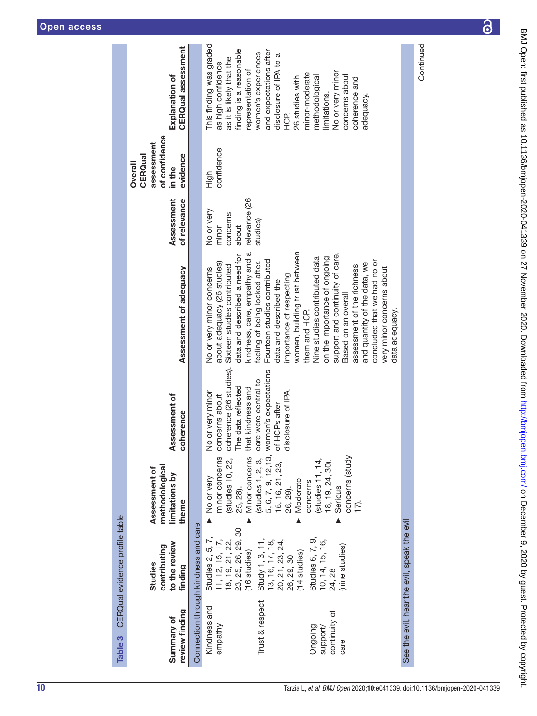| Table 3                                                                                    | CERQual evidence profile table                                                                                                                                                                                                                         |                                                                                                                                                                                                                                                               |                                                                                                                                                                     |                                                                                                                                                                                                                                                                                                                                                                                                                                                                                                                                                                                                                                    |                                                                       |                                                                                |                                                                                                                                                                                                                                                                                                                                                            |
|--------------------------------------------------------------------------------------------|--------------------------------------------------------------------------------------------------------------------------------------------------------------------------------------------------------------------------------------------------------|---------------------------------------------------------------------------------------------------------------------------------------------------------------------------------------------------------------------------------------------------------------|---------------------------------------------------------------------------------------------------------------------------------------------------------------------|------------------------------------------------------------------------------------------------------------------------------------------------------------------------------------------------------------------------------------------------------------------------------------------------------------------------------------------------------------------------------------------------------------------------------------------------------------------------------------------------------------------------------------------------------------------------------------------------------------------------------------|-----------------------------------------------------------------------|--------------------------------------------------------------------------------|------------------------------------------------------------------------------------------------------------------------------------------------------------------------------------------------------------------------------------------------------------------------------------------------------------------------------------------------------------|
| review finding<br>Summary of                                                               | to the review<br>contributing<br>Studies<br>finding                                                                                                                                                                                                    | methodological<br>Assessment of<br>limitations by<br>theme                                                                                                                                                                                                    | Assessment of<br>coherence                                                                                                                                          | Assessment of adequacy                                                                                                                                                                                                                                                                                                                                                                                                                                                                                                                                                                                                             | Assessment<br>of relevance                                            | of confidence<br>assessment<br>CERQual<br>evidence<br><b>Overall</b><br>in the | <b>CERQual assessment</b><br>Explanation of                                                                                                                                                                                                                                                                                                                |
|                                                                                            | Connection through kindness and care                                                                                                                                                                                                                   |                                                                                                                                                                                                                                                               |                                                                                                                                                                     |                                                                                                                                                                                                                                                                                                                                                                                                                                                                                                                                                                                                                                    |                                                                       |                                                                                |                                                                                                                                                                                                                                                                                                                                                            |
| Trust & respect<br>Kindness and<br>continuity of<br>empathy<br>Ongoing<br>support/<br>care | Studies 2, 5, 7,<br>11, 12, 15, 17,<br>18, 19, 21, 22,<br>23, 25, 26, 29, 30<br>(16 studies)<br>Studies 6, 7, 9,<br>10, 14, 15, 16,<br>24, 28<br>Study 1, 3, 11,<br>13, 16, 17, 18,<br>20, 21, 23, 24,<br>26, 29, 30<br>(14 studies)<br>(nine studies) | (studies 1, 2, 3, c<br>5, 6, 7, 9, 12, 13, v<br>15, 16, 21, 23, c<br>(studies 10, 22, $(25, 28)$ .<br>Minor concerns<br>minor concerns<br>concerns (study<br>studies 11, 14,<br>18, 19, 24, 30).<br>No or very<br>Moderate<br>concerns<br>26, 29).<br>Serious | women's expectations<br>care were central to<br>The data reflected<br>that kindness and<br>isclosure of IPA.<br>No or very minor<br>concerns about<br>of HCPs after | kindness, care, empathy and a<br>women, building trust between<br>support and continuity of care.<br>data and described a need for<br>Nine studies contributed data<br>on the importance of ongoing<br>Fourteen studies contributed<br>concluded that we had no or<br>feeling of being looked after.<br>about adequacy (26 studies)<br>and quantity of the data, we<br>coherence (26 studies). Sixteen studies contributed<br>assessment of the richness<br>very minor concerns about<br>No or very minor concerns<br>importance of respecting<br>data and described the<br>Based on an overall<br>them and HCP.<br>data adequacy. | relevance (26<br>No or very<br>concerns<br>studies)<br>about<br>minor | confidence<br>High                                                             | This finding was graded<br>finding is a reasonable<br>and expectations after<br>women's experiences<br>disclosure of IPA to a<br>as it is likely that the<br>as high confidence<br>representation of<br>No or very minor<br>minor-moderate<br>concerns about<br>methodological<br>26 studies with<br>coherence and<br>limitations.<br>adequacy.<br>ら.<br>全 |
|                                                                                            | See the evil, hear the evil, speak the evil                                                                                                                                                                                                            |                                                                                                                                                                                                                                                               |                                                                                                                                                                     |                                                                                                                                                                                                                                                                                                                                                                                                                                                                                                                                                                                                                                    |                                                                       |                                                                                |                                                                                                                                                                                                                                                                                                                                                            |
|                                                                                            |                                                                                                                                                                                                                                                        |                                                                                                                                                                                                                                                               |                                                                                                                                                                     |                                                                                                                                                                                                                                                                                                                                                                                                                                                                                                                                                                                                                                    |                                                                       |                                                                                | Continued                                                                                                                                                                                                                                                                                                                                                  |

 $\delta$ 

<span id="page-10-0"></span>Summary of<br>review finding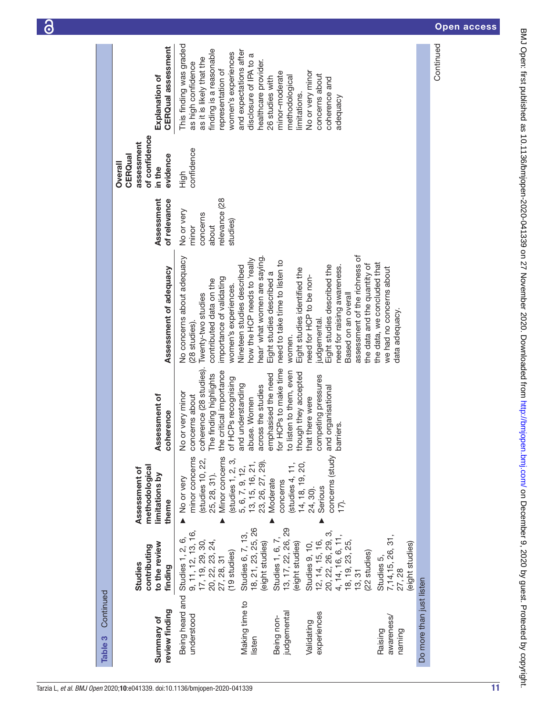| Continued<br>Table 3            |                                                                                                                           |                                                                                                                             |                                                                                                                                                                |                                                                                                                                                                                               |                                                                       |                                                                                |                                                                                                                                                                            |
|---------------------------------|---------------------------------------------------------------------------------------------------------------------------|-----------------------------------------------------------------------------------------------------------------------------|----------------------------------------------------------------------------------------------------------------------------------------------------------------|-----------------------------------------------------------------------------------------------------------------------------------------------------------------------------------------------|-----------------------------------------------------------------------|--------------------------------------------------------------------------------|----------------------------------------------------------------------------------------------------------------------------------------------------------------------------|
| review finding<br>Summary of    | to the review<br>contributing<br>Studies<br>finding                                                                       | methodological<br>Assessment of<br>limitations by<br>theme                                                                  | Assessment of<br>coherence                                                                                                                                     | Assessment of adequacy                                                                                                                                                                        | Assessment<br>of relevance                                            | of confidence<br>assessment<br>CERQual<br>evidence<br><b>Overall</b><br>in the | <b>CERQual assessment</b><br>Explanation of                                                                                                                                |
| Being heard and<br>understood   | $9, 11, 12, 13, 16,$<br>$17, 19, 29, 30,$<br>$20, 22, 23, 24,$<br>Studies 1, 2, 6,<br>(19 studies)<br>27, 28, 31          | Minor concerns<br>minor concerns<br>(studies 10, 22,<br>(studies 1, 2, 3,<br>25, 28, 31).<br>No or very<br>$\blacktriangle$ | coherence (28 studies).<br>the critical importance<br>The finding highlights<br>of HCPs recognising<br>and understanding<br>No or very minor<br>concerns about | No concerns about adequacy<br>Nineteen studies described<br>importance of validating<br>contributed data on the<br>women's experiences.<br>Twenty-two studies<br>(28 studies).                | relevance (28<br>No or very<br>concerns<br>studies)<br>about<br>minor | confidence<br>High                                                             | This finding was graded<br>finding is a reasonable<br>and expectations after<br>women's experiences<br>as it is likely that the<br>as high confidence<br>representation of |
| Making time to<br>listen        | 18, 21, 23, 25, 26<br>Studies 6, 7, 13,<br>(eight studies)                                                                | 13, 15, 16, 21,<br>23, 26, 27, 29).<br>5, 6, 7, 9, 12,<br>Moderate                                                          | emphasised the need<br>across the studies<br>abuse. Women                                                                                                      | hear' what women are saying.<br>how the HCP needs to 'really<br>Eight studies described a                                                                                                     |                                                                       |                                                                                | disclosure of IPA to a<br>healthcare provider.<br>26 studies with                                                                                                          |
| judgemental<br>Being non-       | 13, 17, 22, 26, 29<br>Studies 1, 6, 7,<br>(eight studies)                                                                 | (studies 4, 11,<br>14, 18, 19, 20,<br>concerns                                                                              | for HCPs to make time<br>to listen to them, even<br>though they accepted                                                                                       | need to take time to listen to<br>Eight studies identified the<br>women.                                                                                                                      |                                                                       |                                                                                | minor-moderate<br>methodological<br>limitations.                                                                                                                           |
| experiences<br>Validating       | 12, 14, 15, 16,<br>20, 22, 26, 29, 3,<br>4, 14, 16, 6, 11,<br>18, 19, 23, 25,<br>Studies 9, 10,<br>(22 studies)<br>13, 31 | concerns (study<br>Serious<br>24, 30).                                                                                      | competing pressures<br>and organisational<br>that there were<br>barriers.                                                                                      | assessment of the richness of<br>Eight studies described the<br>the data and the quantity of<br>need for raising awareness.<br>need for HCP to be non-<br>Based on an overall<br>judgemental. |                                                                       |                                                                                | No or very minor<br>concerns about<br>coherence and<br>adequacy                                                                                                            |
| awareness/<br>Raising<br>naming | 7, 14, 15, 26, 31,<br>eight studies)<br>Studies 5<br>27,28                                                                |                                                                                                                             |                                                                                                                                                                | the data, we concluded that<br>we had no concerns about<br>data adequacy.                                                                                                                     |                                                                       |                                                                                |                                                                                                                                                                            |
| Do more than just listen        |                                                                                                                           |                                                                                                                             |                                                                                                                                                                |                                                                                                                                                                                               |                                                                       |                                                                                | Continued                                                                                                                                                                  |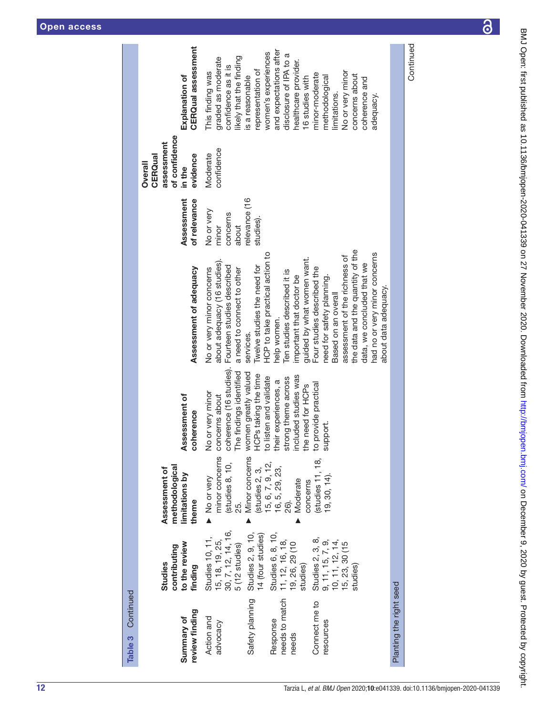BMJ Open: first published as 10.1136/bmjopen-2020-041339 on 27 November 2020. Downloaded from<http://bmjopen.bmj.com/>on December 9, 2020 by guest. Protected by copyright.

BMJ Open: first published as 10.1136/bmjopen-2020-041339 on 27 November 2020. Downloaded from http://bmjopen.bmj.com/ on December 9, 2020 by guest. Protected by copyright.

| and expectations after<br>women's experiences<br>disclosure of IPA to a<br>healthcare provider.           | No or very minor<br>minor-moderate<br>concerns about<br>methodological<br>16 studies with<br>coherence and<br>limitations.<br>adequacy.                                                                                                                                  |                         | Continued |
|-----------------------------------------------------------------------------------------------------------|--------------------------------------------------------------------------------------------------------------------------------------------------------------------------------------------------------------------------------------------------------------------------|-------------------------|-----------|
| HCP to take practical action to<br>Ten studies described it is<br>important that doctor be<br>help women. | the data and the quantity of the<br>had no or very minor concerns<br>assessment of the richness of<br>guided by what women want.<br>data, we concluded that we<br>Four studies described the<br>need for safety planning.<br>about data adequacy.<br>Based on an overall |                         |           |
| included studies was<br>to listen and validate<br>strong theme across<br>their experiences, a             | to provide practical<br>the need for HCPs<br>support.                                                                                                                                                                                                                    |                         |           |
| 15, 6, 7, 9, 12,<br>16, 5, 29, 23,<br>26).<br>Moderate                                                    | (studies 11, 18,<br>$9, 30, 14$ .<br>concerns                                                                                                                                                                                                                            |                         |           |
| Studies 6, 8, 10,<br>11, 12, 16, 18,<br>19, 26, 29 (10<br>studies)                                        | Studies 2, 3, 8,<br>9, 11, 15, 7, 9,<br>10, 11, 12, 14,<br>15, 23, 30 (15<br>studies)                                                                                                                                                                                    |                         |           |
| needs to match<br>Response<br>needs                                                                       | Connect me to<br>resources                                                                                                                                                                                                                                               | Planting the right seed |           |

# Table 3 Continued Continued Table 3

Overall CERQual

CERQual

**CERQual assessment** 

evidence Moderate

in the

Assessment of relevance No or very

Explanation of

of confidence assessment

Studies Assessment of assessment contributing methodological of confdence Summary of to the review limitations by Assessment of Assessment in the Explanation of review fnding fnding theme coherence Assessment of adequacy of relevance evidence CERQual assessment Action and Studies 10, 11, ► No or very minor No or very minor No or very minor No or very Moderate This finding was advocacy 15, 18, 19, 25, minor concerns concerns about about adequacy (16 studies). minor confdence graded as moderate

30, 7, 12, 14, 16, (studies 8, 10, coherence (16 studies). Fourteen studies described concerns confdence as it is 5 (12 studies) 25. The fndings identifed a need to connect to other about likely that the fnding

coherence (16 studies). The findings identified women greatly valued HCPs taking the time

No or very minor

concerns about

minor concerns studies 8, 10,

No or very

Studies 10, 11,

Assessment of

methodological

limitations by

to the review

inding

review finding Action and

Summary of

contributing

Studies

theme

Assessment of

coherence

a need to connect to other

about adequacy (16 studies) Fourteen studies described

Assessment of adequacy No or very minor concerns concerns

about

minor

Safety planning Studies 2, 9, 10, ▶ Minor concerns women greatly valued services.<br>14 (four studies) (studies 2, 3, HCPs taking the time Twelve studies the need for studies). representation of

services.

HCP to take practical action to

to listen and validate

 $15, 6, 7, 9, 12,$ 

(studies 2, 3,

Twelve studies the need for

representation of

is a reasonable

relevance (16

studies).

likely that the finding

confidence as it is

graded as moderate

confidence

This finding was

►

Studies 2, 9, 10, 14 (four studies) Studies 6, 8, 10,

Safety planning

25.

30, 7, 12, 14, 16,

5 (12 studies)

15, 18, 19, 25,

advocacy

Minor concerns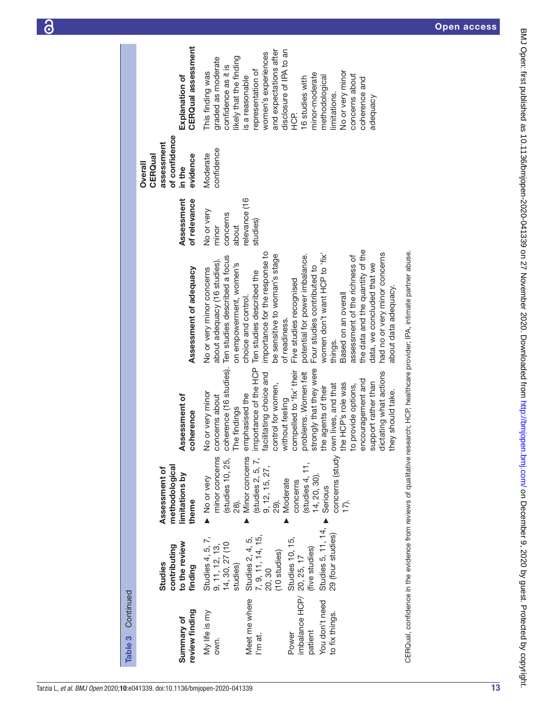| review finding<br>Summary of                                                                               | to the review<br>contributing<br>Studies<br>finding                                                                                                                                                                                          | methodological<br>Assessment of<br>limitations by<br>theme                                                                         | Assessment of<br>coherence                                                                                                                                                                                                                                                                                                                                                                                                                                                                        | Assessment of adequacy                                                                                                                                                                                                                                                                                                                                                                                                                                                                                                                                                                                                           | Assessment<br>of relevance                                            | of confidence<br>assessment<br>evidence<br>CERQual<br><b>Overall</b><br>in the | <b>CERQual assessment</b><br>Explanation of                                                                                                                                                                                                                                                                                                                    |
|------------------------------------------------------------------------------------------------------------|----------------------------------------------------------------------------------------------------------------------------------------------------------------------------------------------------------------------------------------------|------------------------------------------------------------------------------------------------------------------------------------|---------------------------------------------------------------------------------------------------------------------------------------------------------------------------------------------------------------------------------------------------------------------------------------------------------------------------------------------------------------------------------------------------------------------------------------------------------------------------------------------------|----------------------------------------------------------------------------------------------------------------------------------------------------------------------------------------------------------------------------------------------------------------------------------------------------------------------------------------------------------------------------------------------------------------------------------------------------------------------------------------------------------------------------------------------------------------------------------------------------------------------------------|-----------------------------------------------------------------------|--------------------------------------------------------------------------------|----------------------------------------------------------------------------------------------------------------------------------------------------------------------------------------------------------------------------------------------------------------------------------------------------------------------------------------------------------------|
| imbalance HCP/ 20, 25, 17<br>You don't need<br>My life is my<br>to fix things.<br>patient<br>Power<br>own. | Studies 5, 11, 14, Serious<br>29 (four studies)<br>Meet me where Studies $2, 4, 5,$<br>I'm at.<br>I'm at.<br>Studies 10, 15,<br>Studies 4, 5, 7,<br>9, 11, 12, 13,<br>14, 30, 27 (10<br>studies)<br>20, 30<br>(10 studies)<br>(five studies) | (studies 10, 25,<br>28)<br>minor concerns<br>concerns<br>(studies 4, 11,<br>No or very<br>14, 20, 30).<br>Moderate<br>29).<br>17). | ► Minor concerns emphasised the<br>(studies 2, 5, 7, importance of the HCP<br>9, 12, 15, 27, facilitating choice and<br>problems. Women felt<br>strongly that they were<br>compelled to 'fix' their<br>ictating what actions<br>encouragement and<br>support rather than<br>concerns (study own lives, and that<br>17). the HCP's role was<br>control for women,<br>to provide options,<br>the agents of their<br>they should take.<br>No or very minor<br>concerns about<br>without feeling<br>ㅎ | the data and the quantity of the<br>importance for the response to<br>had no or very minor concerns<br>women don't want HCP to 'fix'<br>potential for power imbalance.<br>be sensitive to woman's stage<br>assessment of the richness of<br>coherence (16 studies). Ten studies described a focus<br>The findings<br>about adequacy (16 studies).<br>on empowerment, women's<br>data, we concluded that we<br>Four studies contributed to<br>No or very minor concerns<br>Ten studies described the<br>Five studies recognised<br>about data adequacy.<br>Based on an overall<br>choice and control.<br>of readiness.<br>things. | relevance (16<br>No or very<br>concerns<br>studies)<br>about<br>minor | confidence<br>Moderate                                                         | and expectations after<br>disclosure of IPA to an<br>women's experiences<br>likely that the finding<br>graded as moderate<br>confidence as it is<br>representation of<br>No or very minor<br>This finding was<br>minor-moderate<br>concerns about<br>is a reasonable<br>methodological<br>16 studies with<br>coherence and<br>limitations.<br>adequacy<br>HCP. |

CERQual, confidence in the evidence from reviews of qualitative research; HCP, healthcare provider; IPA, intimate partner abuse. CERQual, confdence in the evidence from reviews of qualitative research; HCP, healthcare provider; IPA, intimate partner abuse.

Table 3 Continued

Table 3 Continued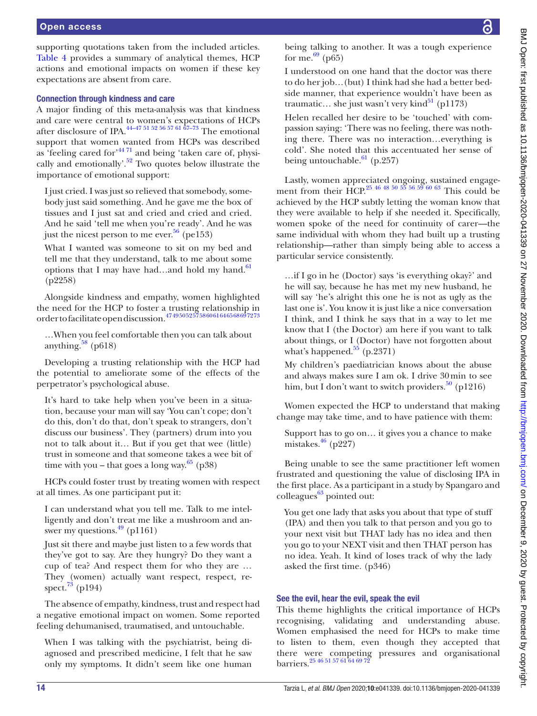supporting quotations taken from the included articles. [Table 4](#page-15-0) provides a summary of analytical themes, HCP actions and emotional impacts on women if these key expectations are absent from care.

#### Connection through kindness and care

A major finding of this meta-analysis was that kindness and care were central to women's expectations of HCPs after disclosure of IPA.[44–47 51 52 56 57 61 67–73](#page-22-30) The emotional support that women wanted from HCPs was described as 'feeling cared for'<sup>44 71</sup> and being 'taken care of, physically and emotionally'.<sup>52</sup> Two quotes below illustrate the importance of emotional support:

I just cried. I was just so relieved that somebody, somebody just said something. And he gave me the box of tissues and I just sat and cried and cried and cried. And he said 'tell me when you're ready'. And he was just the nicest person to me ever.<sup>56</sup> (pe153)

What I wanted was someone to sit on my bed and tell me that they understand, talk to me about some options that I may have had…and hold my hand. $61$ (p2258)

Alongside kindness and empathy, women highlighted the need for the HCP to foster a trusting relationship in order to facilitate open discussion.[47 49 50 52 57 58 60 61 64 65 68 69 72 73](#page-22-33)

…When you feel comfortable then you can talk about anything. $58$  (p618)

Developing a trusting relationship with the HCP had the potential to ameliorate some of the effects of the perpetrator's psychological abuse.

It's hard to take help when you've been in a situation, because your man will say 'You can't cope; don't do this, don't do that, don't speak to strangers, don't discuss our business'. They (partners) drum into you not to talk about it… But if you get that wee (little) trust in someone and that someone takes a wee bit of time with you – that goes a long way.<sup>65</sup> (p38)

HCPs could foster trust by treating women with respect at all times. As one participant put it:

I can understand what you tell me. Talk to me intelligently and don't treat me like a mushroom and answer my questions. $^{49}$  (p1161)

Just sit there and maybe just listen to a few words that they've got to say. Are they hungry? Do they want a cup of tea? And respect them for who they are … They (women) actually want respect, respect, respect. $^{73}$  (p194)

The absence of empathy, kindness, trust and respect had a negative emotional impact on women. Some reported feeling dehumanised, traumatised, and untouchable.

When I was talking with the psychiatrist, being diagnosed and prescribed medicine, I felt that he saw only my symptoms. It didn't seem like one human

being talking to another. It was a tough experience for me.  $^{69}$  (p65)

I understood on one hand that the doctor was there to do her job…(but) I think had she had a better bedside manner, that experience wouldn't have been as traumatic... she just wasn't very kind $^{51}$  (p1173)

Helen recalled her desire to be 'touched' with compassion saying: 'There was no feeling, there was nothing there. There was no interaction…everything is cold'. She noted that this accentuated her sense of being untouchable. $61$  (p.257)

Lastly, women appreciated ongoing, sustained engagement from their HCP.<sup>25</sup> 46 48 50 55 56 59 60 63 This could be achieved by the HCP subtly letting the woman know that they were available to help if she needed it. Specifically, women spoke of the need for continuity of carer—the same individual with whom they had built up a trusting relationship—rather than simply being able to access a particular service consistently.

…if I go in he (Doctor) says 'is everything okay?' and he will say, because he has met my new husband, he will say 'he's alright this one he is not as ugly as the last one is'. You know it is just like a nice conversation I think, and I think he says that in a way to let me know that I (the Doctor) am here if you want to talk about things, or I (Doctor) have not forgotten about what's happened. $55$  (p.2371)

My children's paediatrician knows about the abuse and always makes sure I am ok. I drive 30min to see him, but I don't want to switch providers.<sup>50</sup> (p1216)

Women expected the HCP to understand that making change may take time, and to have patience with them:

Support has to go on… it gives you a chance to make mistakes. $46$  (p227)

Being unable to see the same practitioner left women frustrated and questioning the value of disclosing IPA in the first place. As a participant in a study by Spangaro and colleagues<sup>63</sup> pointed out:

You get one lady that asks you about that type of stuff (IPA) and then you talk to that person and you go to your next visit but THAT lady has no idea and then you go to your NEXT visit and then THAT person has no idea. Yeah. It kind of loses track of why the lady asked the first time. (p346)

#### See the evil, hear the evil, speak the evil

This theme highlights the critical importance of HCPs recognising, validating and understanding abuse. Women emphasised the need for HCPs to make time to listen to them, even though they accepted that there were competing pressures and organisational barriers[.25 46 51 57 61 64 69 72](#page-22-11)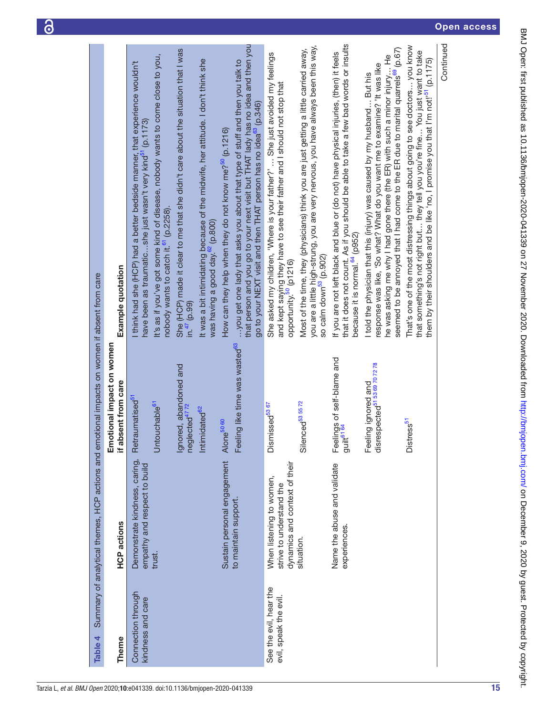<span id="page-15-0"></span>

| I told the physician that this (injury) was caused by my husband But his<br>and kept saying they have to see their father and I should not stop that<br>go to your NEXT visit and then THAT person has no idea <sup>63</sup> (p.346)<br>How can they help when they do not know me? <sup>50</sup> (p.1216)<br>nobody wants to catch it. <sup>61</sup> (p.2258).<br>was having a good day. <sup>62</sup> (p.800)<br>because it is normal. <sup>64</sup> (p952)<br>so calm down <sup>53</sup> (p.902)<br>opportunity. <sup>50</sup> (p1216)<br>Example quotation<br>$\ln \frac{47}{1}$ (p.99)<br>ng like time was wasted <sup>63</sup><br>Feelings of self-blame and<br><sup>6164</sup><br>disrespected <sup>51</sup> 53 69 70 72 78<br>Ignored, abandoned and<br>if absent from care<br>Feeling ignored and<br>Retraumatised <sup>5</sup><br>Silenced <sup>53</sup> 5572<br>Untouchable <sup>61</sup><br>nissed <sup>53 67</sup><br>neglected <sup>4772</sup><br>Intimidated <sup>62</sup><br>Distress <sup>51</sup><br>Alone <sup>5060</sup><br>Feelir<br>Dism<br>guilt <sup>6</sup><br>Demonstrate kindness, caring,<br>Sustain personal engagement<br>dynamics and context of their<br>Name the abuse and validate<br>empathy and respect to build<br>When listening to women,<br>strive to understand the<br>to maintain support.<br><b>HCP</b> actions<br>experiences<br>situation.<br>trust.<br>See the evil, hear the<br>Connection through<br>evil, speak the evil.<br>kindness and care<br>Theme |  | Emotional impact on women |                                                                                                                                                                                                                                                                 |
|----------------------------------------------------------------------------------------------------------------------------------------------------------------------------------------------------------------------------------------------------------------------------------------------------------------------------------------------------------------------------------------------------------------------------------------------------------------------------------------------------------------------------------------------------------------------------------------------------------------------------------------------------------------------------------------------------------------------------------------------------------------------------------------------------------------------------------------------------------------------------------------------------------------------------------------------------------------------------------------------------------------------------------------------------------------------------------------------------------------------------------------------------------------------------------------------------------------------------------------------------------------------------------------------------------------------------------------------------------------------------------------------------------------------------------------------------------------------------------------------------------|--|---------------------------|-----------------------------------------------------------------------------------------------------------------------------------------------------------------------------------------------------------------------------------------------------------------|
|                                                                                                                                                                                                                                                                                                                                                                                                                                                                                                                                                                                                                                                                                                                                                                                                                                                                                                                                                                                                                                                                                                                                                                                                                                                                                                                                                                                                                                                                                                          |  |                           |                                                                                                                                                                                                                                                                 |
|                                                                                                                                                                                                                                                                                                                                                                                                                                                                                                                                                                                                                                                                                                                                                                                                                                                                                                                                                                                                                                                                                                                                                                                                                                                                                                                                                                                                                                                                                                          |  |                           | l think had she (HCP) had a better bedside manner, that experience wouldn't<br>have been as traumatic…she just wasn't very kind <sup>s'i</sup> (p.1173)                                                                                                         |
|                                                                                                                                                                                                                                                                                                                                                                                                                                                                                                                                                                                                                                                                                                                                                                                                                                                                                                                                                                                                                                                                                                                                                                                                                                                                                                                                                                                                                                                                                                          |  |                           | It's as if you've got some kind of disease, nobody wants to come close to you,                                                                                                                                                                                  |
|                                                                                                                                                                                                                                                                                                                                                                                                                                                                                                                                                                                                                                                                                                                                                                                                                                                                                                                                                                                                                                                                                                                                                                                                                                                                                                                                                                                                                                                                                                          |  |                           | She (HCP) made it clear to me that she didn't care about the situation that I was                                                                                                                                                                               |
|                                                                                                                                                                                                                                                                                                                                                                                                                                                                                                                                                                                                                                                                                                                                                                                                                                                                                                                                                                                                                                                                                                                                                                                                                                                                                                                                                                                                                                                                                                          |  |                           | It was a bit intimidating because of the midwife, her attitude. I don't think she                                                                                                                                                                               |
|                                                                                                                                                                                                                                                                                                                                                                                                                                                                                                                                                                                                                                                                                                                                                                                                                                                                                                                                                                                                                                                                                                                                                                                                                                                                                                                                                                                                                                                                                                          |  |                           |                                                                                                                                                                                                                                                                 |
|                                                                                                                                                                                                                                                                                                                                                                                                                                                                                                                                                                                                                                                                                                                                                                                                                                                                                                                                                                                                                                                                                                                                                                                                                                                                                                                                                                                                                                                                                                          |  |                           | that person and you go to your next visit but THAT lady has no idea and then you<br>you get one lady that asks you about that type of stuff and then you talk to                                                                                                |
|                                                                                                                                                                                                                                                                                                                                                                                                                                                                                                                                                                                                                                                                                                                                                                                                                                                                                                                                                                                                                                                                                                                                                                                                                                                                                                                                                                                                                                                                                                          |  |                           | She asked my children, 'Where is your father?'  She just avoided my feelings                                                                                                                                                                                    |
|                                                                                                                                                                                                                                                                                                                                                                                                                                                                                                                                                                                                                                                                                                                                                                                                                                                                                                                                                                                                                                                                                                                                                                                                                                                                                                                                                                                                                                                                                                          |  |                           | you are a little high-strung, you are very nervous, you have always been this way,<br>Most of the time, they (physicians) think you are just getting a little carried away,                                                                                     |
|                                                                                                                                                                                                                                                                                                                                                                                                                                                                                                                                                                                                                                                                                                                                                                                                                                                                                                                                                                                                                                                                                                                                                                                                                                                                                                                                                                                                                                                                                                          |  |                           | that it does not count. As if you should be able to take a few bad words or insults<br>If you are not left black and blue or (do not) have physical injuries, (then) it feels                                                                                   |
|                                                                                                                                                                                                                                                                                                                                                                                                                                                                                                                                                                                                                                                                                                                                                                                                                                                                                                                                                                                                                                                                                                                                                                                                                                                                                                                                                                                                                                                                                                          |  |                           | seemed to be annoyed that I had come to the ER due to marital quarrels <sup>69</sup> (p.67)<br>he was asking me why I had gone there (the ER) with such a minor injury He<br>response was like, 'So what? What do you want me to examine? 'It was like          |
|                                                                                                                                                                                                                                                                                                                                                                                                                                                                                                                                                                                                                                                                                                                                                                                                                                                                                                                                                                                                                                                                                                                                                                                                                                                                                                                                                                                                                                                                                                          |  |                           | That's one of the most distressing things about going to see doctors you know<br>that something's not right but they tell you you're fine You just want to take<br>them by their shoulders and be like 'no, I promise you that I'm not!' <sup>51</sup> (p.1175) |

ි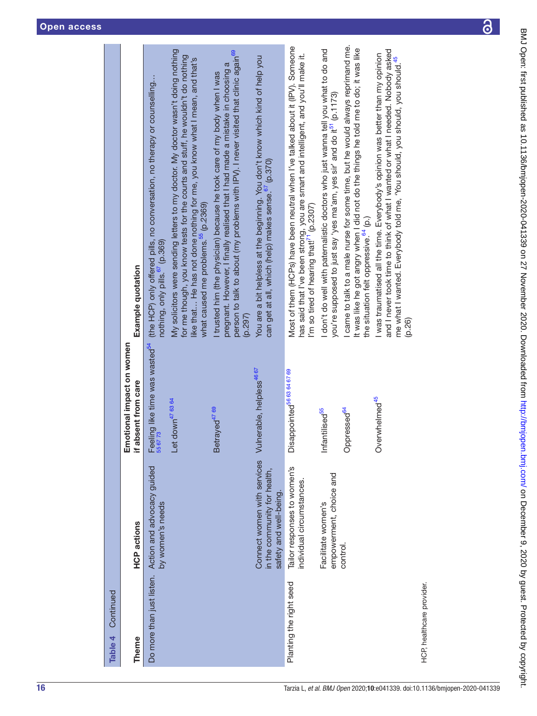| United Creation to the second second to the fact of the line of the control of the control of the control of the control of the control of the control of the control of the control of the control of the control of the cont |
|--------------------------------------------------------------------------------------------------------------------------------------------------------------------------------------------------------------------------------|
|                                                                                                                                                                                                                                |
|                                                                                                                                                                                                                                |
|                                                                                                                                                                                                                                |
| $\vdots$                                                                                                                                                                                                                       |
|                                                                                                                                                                                                                                |
|                                                                                                                                                                                                                                |
|                                                                                                                                                                                                                                |
| $\frac{1}{2}$                                                                                                                                                                                                                  |
|                                                                                                                                                                                                                                |
|                                                                                                                                                                                                                                |
|                                                                                                                                                                                                                                |
|                                                                                                                                                                                                                                |
|                                                                                                                                                                                                                                |
| j                                                                                                                                                                                                                              |
|                                                                                                                                                                                                                                |
|                                                                                                                                                                                                                                |
| りりり                                                                                                                                                                                                                            |
|                                                                                                                                                                                                                                |
|                                                                                                                                                                                                                                |
|                                                                                                                                                                                                                                |
| š                                                                                                                                                                                                                              |
|                                                                                                                                                                                                                                |
|                                                                                                                                                                                                                                |
| $\frac{1}{2}$                                                                                                                                                                                                                  |
|                                                                                                                                                                                                                                |
|                                                                                                                                                                                                                                |
| $\vdots$                                                                                                                                                                                                                       |
|                                                                                                                                                                                                                                |
|                                                                                                                                                                                                                                |
|                                                                                                                                                                                                                                |
|                                                                                                                                                                                                                                |
|                                                                                                                                                                                                                                |
|                                                                                                                                                                                                                                |
|                                                                                                                                                                                                                                |
|                                                                                                                                                                                                                                |
|                                                                                                                                                                                                                                |
|                                                                                                                                                                                                                                |
| pd trom http://bm                                                                                                                                                                                                              |
|                                                                                                                                                                                                                                |
|                                                                                                                                                                                                                                |
|                                                                                                                                                                                                                                |
|                                                                                                                                                                                                                                |
|                                                                                                                                                                                                                                |
|                                                                                                                                                                                                                                |
| ì                                                                                                                                                                                                                              |
|                                                                                                                                                                                                                                |
|                                                                                                                                                                                                                                |
|                                                                                                                                                                                                                                |
|                                                                                                                                                                                                                                |
|                                                                                                                                                                                                                                |
|                                                                                                                                                                                                                                |
| J                                                                                                                                                                                                                              |
|                                                                                                                                                                                                                                |
|                                                                                                                                                                                                                                |
|                                                                                                                                                                                                                                |
| <b>SHIPS SHIPS SHIPS SHIPS SHIPS SHIPS SHIPS SHIPS</b>                                                                                                                                                                         |
|                                                                                                                                                                                                                                |
|                                                                                                                                                                                                                                |
|                                                                                                                                                                                                                                |
|                                                                                                                                                                                                                                |
|                                                                                                                                                                                                                                |
|                                                                                                                                                                                                                                |
|                                                                                                                                                                                                                                |
| ׇ֠                                                                                                                                                                                                                             |
|                                                                                                                                                                                                                                |
|                                                                                                                                                                                                                                |
|                                                                                                                                                                                                                                |
| ו<br>ו                                                                                                                                                                                                                         |
|                                                                                                                                                                                                                                |
|                                                                                                                                                                                                                                |
|                                                                                                                                                                                                                                |
| .<br>.<br>.<br>.                                                                                                                                                                                                               |
|                                                                                                                                                                                                                                |
|                                                                                                                                                                                                                                |

| Continued<br>Table 4      |                                                                                       |                                                       |                                                                                                                                                                                                                                                                                                    |
|---------------------------|---------------------------------------------------------------------------------------|-------------------------------------------------------|----------------------------------------------------------------------------------------------------------------------------------------------------------------------------------------------------------------------------------------------------------------------------------------------------|
| Theme                     | <b>HCP</b> actions                                                                    | Emotional impact on women<br>bsent from care<br>if at | Example quotation                                                                                                                                                                                                                                                                                  |
|                           | Do more than just listen. Action and advocacy guided<br>by women's needs              | Feeling like time was wasted <sup>54</sup>            | (the HCP) only offered pills, no conversation, no therapy or counselling<br>nothing, only pills. <sup>67</sup> (p.369)                                                                                                                                                                             |
|                           |                                                                                       | $down47$ 63 64<br><b>b</b>                            | My solicitors were sending letters to my doctor. My doctor wasn't doing nothing<br>for me though, you know tests for the courts and stuff, he wouldn't do nothing<br>like that He has not done nothing for me, you know what I mean, and that's<br>what caused me problems. <sup>55</sup> (p.2369) |
|                           |                                                                                       | Betrayed <sup>4769</sup>                              | person to talk to about (my problems with IPV). I never visited that clinic again <sup>69</sup><br>pregnant. However, I finally realised that I had made a mistake in choosing a<br>trusted him (the physician) because he took care of my body when I was<br>(0.297)                              |
|                           | Connect women with services<br>in the community for health,<br>safety and well-being. | Vulnerable, helpless <sup>4667</sup>                  | You are a bit helpless at the beginning. You don't know which kind of help you<br>can get at all, which (help) makes sense. <sup>67</sup> (p.370)                                                                                                                                                  |
| Planting the right seed   | Tailor responses to women's<br>individual circumstances.                              | Disappointed <sup>56 63 64 67 69</sup>                | Most of them (HCPs) have been neutral when I've talked about it (IPV). Someone<br>has said that I've been strong, you are smart and intelligent, and you'll make it.<br>I'm so tired of hearing that! <sup>71</sup> ( $\stackrel{.}{p}$ .2307)                                                     |
|                           | empowerment, choice and<br>Facilitate women's                                         | Infantilised <sup>55</sup>                            | I don't do well with paternalistic doctors who just wanna tell you what to do and<br>you're supposed to just say 'yes ma'am, yes sir' and do it <sup>51</sup> (p.1173)                                                                                                                             |
|                           | control.                                                                              | Oppressed <sup>64</sup>                               | I came to talk to a male nurse for some time, but he would always reprimand me.<br>It was like he got angry when I did not do the things he told me to do; it was like<br>the situation felt oppressive. <sup>64</sup> (p.)                                                                        |
|                           |                                                                                       | Overwhelmed <sup>45</sup>                             | and I never took time to think of what I wanted or what I needed. Nobody asked<br>I was traumatised all the time. Everybody's opinion was better than my opinion<br>me what I wanted. Everybody told me, 'You should, you should, you should. <sup>45</sup><br>(p.26)                              |
| HCP, healthcare provider. |                                                                                       |                                                       |                                                                                                                                                                                                                                                                                                    |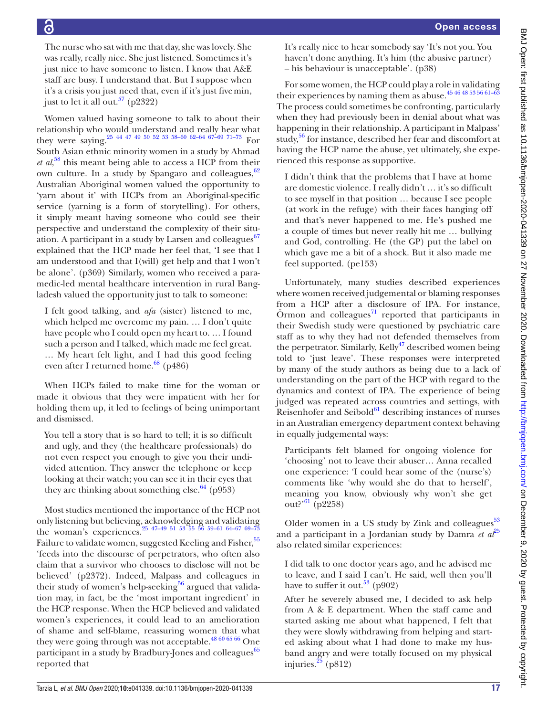The nurse who sat with me that day, she was lovely. She was really, really nice. She just listened. Sometimes it's just nice to have someone to listen. I know that A&E staff are busy. I understand that. But I suppose when it's a crisis you just need that, even if it's just five min, just to let it all out.<sup>57</sup> (p2322)

Women valued having someone to talk to about their relationship who would understand and really hear what they were saying.[25 44 47 49 50 52 53 58–60 62–64 67–69 71–73](#page-22-11) For South Asian ethnic minority women in a study by Ahmad *et al*, [58](#page-23-1) this meant being able to access a HCP from their own culture. In a study by Spangaro and colleagues,  $62$ Australian Aboriginal women valued the opportunity to 'yarn about it' with HCPs from an Aboriginal-specific service (yarning is a form of storytelling). For others, it simply meant having someone who could see their perspective and understand the complexity of their situation. A participant in a study by Larsen and colleagues<sup>67</sup> explained that the HCP made her feel that, 'I see that I am understood and that I(will) get help and that I won't be alone'. (p369) Similarly, women who received a paramedic-led mental healthcare intervention in rural Bangladesh valued the opportunity just to talk to someone:

I felt good talking, and *afa* (sister) listened to me, which helped me overcome my pain. … I don't quite have people who I could open my heart to. … I found such a person and I talked, which made me feel great. … My heart felt light, and I had this good feeling even after I returned home. $68$  (p486)

When HCPs failed to make time for the woman or made it obvious that they were impatient with her for holding them up, it led to feelings of being unimportant and dismissed.

You tell a story that is so hard to tell; it is so difficult and ugly, and they (the healthcare professionals) do not even respect you enough to give you their undivided attention. They answer the telephone or keep looking at their watch; you can see it in their eyes that they are thinking about something else. $64$  (p953)

Most studies mentioned the importance of the HCP not only listening but believing, acknowledging and validating the woman's experiences.<sup>[25 47–49 51 53 55 56 59–61 64–67 69–73](#page-22-11)</sup> Failure to validate women, suggested Keeling and Fisher, [55](#page-23-10) 'feeds into the discourse of perpetrators, who often also claim that a survivor who chooses to disclose will not be believed' (p2372). Indeed, Malpass and colleagues in their study of women's help-seeking<sup>56</sup> argued that validation may, in fact, be the 'most important ingredient' in the HCP response. When the HCP believed and validated women's experiences, it could lead to an amelioration of shame and self-blame, reassuring women that what they were going through was not acceptable.<sup>48 60 65 66</sup> One participant in a study by Bradbury-Jones and colleagues<sup>65</sup> reported that

It's really nice to hear somebody say 'It's not you. You haven't done anything. It's him (the abusive partner) – his behaviour is unacceptable'. (p38)

For some women, the HCP could play a role in validating their experiences by naming them as abuse. $45\frac{46\frac{48}{53}\frac{56}{56}\cdot 61}{63}$ The process could sometimes be confronting, particularly when they had previously been in denial about what was happening in their relationship. A participant in Malpass' study,<sup>[56](#page-23-12)</sup> for instance, described her fear and discomfort at having the HCP name the abuse, yet ultimately, she experienced this response as supportive.

I didn't think that the problems that I have at home are domestic violence. I really didn't … it's so difficult to see myself in that position … because I see people (at work in the refuge) with their faces hanging off and that's never happened to me. He's pushed me a couple of times but never really hit me … bullying and God, controlling. He (the GP) put the label on which gave me a bit of a shock. But it also made me feel supported. (pe153)

Unfortunately, many studies described experiences where women received judgemental or blaming responses from a HCP after a disclosure of IPA. For instance, Örmon and colleagues $^{71}$  reported that participants in their Swedish study were questioned by psychiatric care staff as to why they had not defended themselves from the perpetrator. Similarly, Kelly<sup>47</sup> described women being told to 'just leave'. These responses were interpreted by many of the study authors as being due to a lack of understanding on the part of the HCP with regard to the dynamics and context of IPA. The experience of being judged was repeated across countries and settings, with Reisenhofer and Seibold $^{61}$  describing instances of nurses in an Australian emergency department context behaving in equally judgemental ways:

Participants felt blamed for ongoing violence for 'choosing' not to leave their abuser… Anna recalled one experience: 'I could hear some of the (nurse's) comments like 'why would she do that to herself', meaning you know, obviously why won't she get out?'<sup>[61](#page-23-2)</sup> (p2258)

Older women in a US study by Zink and colleagues $53$ and a participant in a Jordanian study by Damra *et*  $a^{25}$ also related similar experiences:

I did talk to one doctor years ago, and he advised me to leave, and I said I can't. He said, well then you'll have to suffer it out.<sup>53</sup> (p902)

After he severely abused me, I decided to ask help from A & E department. When the staff came and started asking me about what happened, I felt that they were slowly withdrawing from helping and started asking about what I had done to make my husband angry and were totally focused on my physical injuries. $25$  (p812)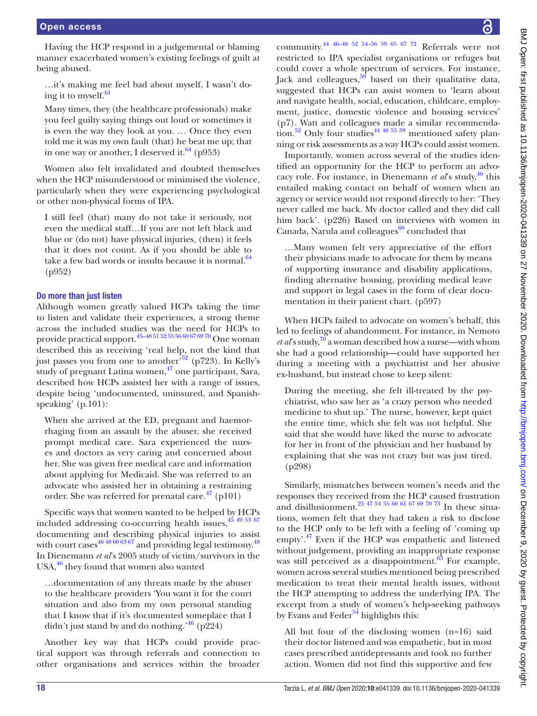Having the HCP respond in a judgemental or blaming manner exacerbated women's existing feelings of guilt at being abused.

…it's making me feel bad about myself, I wasn't doing it to myself. $61$ 

Many times, they (the healthcare professionals) make you feel guilty saying things out loud or sometimes it is even the way they look at you. … Once they even told me it was my own fault (that) he beat me up; that in one way or another, I deserved it. $^{64}$  (p953)

Women also felt invalidated and doubted themselves when the HCP misunderstood or minimised the violence, particularly when they were experiencing psychological or other non-physical forms of IPA.

I still feel (that) many do not take it seriously, not even the medical staff…If you are not left black and blue or (do not) have physical injuries, (then) it feels that it does not count. As if you should be able to take a few bad words or insults because it is normal.<sup>64</sup> (p952)

#### Do more than just listen

Although women greatly valued HCPs taking the time to listen and validate their experiences, a strong theme across the included studies was the need for HCPs to provide practical support.<sup>45–48 51 52 55 56 60 67 69 70</sup> One woman described this as receiving 'real help, not the kind that just passes you from one to another<sup>552</sup> (p723). In Kelly's study of pregnant Latina women, $\frac{47}{1}$  one participant, Sara, described how HCPs assisted her with a range of issues, despite being 'undocumented, uninsured, and Spanishspeaking' (p.101):

When she arrived at the ED, pregnant and haemorrhaging from an assault by the abuser, she received prompt medical care. Sara experienced the nurses and doctors as very caring and concerned about her. She was given free medical care and information about applying for Medicaid. She was referred to an advocate who assisted her in obtaining a restraining order. She was referred for prenatal care.<sup>47</sup> (p101)

Specific ways that women wanted to be helped by HCPs included addressing co-occurring health issues,  $45495367$ documenting and describing physical injuries to assist with court cases  $4648606367$  and providing legal testimony.  $48$ In Dienemann *et al*'s 2005 study of victim/survivors in the USA, $46$  they found that women also wanted

…documentation of any threats made by the abuser to the healthcare providers 'You want it for the court situation and also from my own personal standing that I know that if it's documented someplace that I didn't just stand by and do nothing.<sup>46</sup> (p224)

Another key way that HCPs could provide practical support was through referrals and connection to other organisations and services within the broader

community.<sup>44 46–48 52 54–56 59 65 67 72</sup> Referrals were not restricted to IPA specialist organisations or refuges but could cover a whole spectrum of services. For instance, Jack and colleagues, $59$  based on their qualitative data, suggested that HCPs can assist women to 'learn about and navigate health, social, education, childcare, employment, justice, domestic violence and housing services' (p7). Watt and colleagues made a similar recommendation.<sup>52</sup> Only four studies<sup>44 48 55 59</sup> mentioned safety planning or risk assessments as a way HCPs could assist women.

Importantly, women across several of the studies identified an opportunity for the HCP to perform an advocacy role. For instance, in Dienemann *et al*'s study, <sup>46</sup> this entailed making contact on behalf of women when an agency or service would not respond directly to her: 'They never called me back. My doctor called and they did call him back'. (p226) Based on interviews with women in Canada, Narula and colleagues $^{60}$  concluded that

…Many women felt very appreciative of the effort their physicians made to advocate for them by means of supporting insurance and disability applications, finding alternative housing, providing medical leave and support in legal cases in the form of clear documentation in their patient chart. (p597)

When HCPs failed to advocate on women's behalf, this led to feelings of abandonment. For instance, in Nemoto *et al*'s study,[70](#page-23-14) a woman described how a nurse—with whom she had a good relationship—could have supported her during a meeting with a psychiatrist and her abusive ex-husband, but instead chose to keep silent:

During the meeting, she felt ill-treated by the psychiatrist, who saw her as 'a crazy person who needed medicine to shut up.' The nurse, however, kept quiet the entire time, which she felt was not helpful. She said that she would have liked the nurse to advocate for her in front of the physician and her husband by explaining that she was not crazy but was just tired. (p298)

Similarly, mismatches between women's needs and the responses they received from the HCP caused frustration and disillusionment.<sup>25 47 54 55 60 61 67 69 70 73</sup> In these situations, women felt that they had taken a risk to disclose to the HCP only to be left with a feeling of 'coming up empty'.<sup>47</sup> Even if the HCP was empathetic and listened without judgement, providing an inappropriate response was still perceived as a disappointment. $63$  For example, women across several studies mentioned being prescribed medication to treat their mental health issues, without the HCP attempting to address the underlying IPA. The excerpt from a study of women's help-seeking pathways by Evans and Feder<sup>54</sup> highlights this:

All but four of the disclosing women (n=16) said their doctor listened and was empathetic, but in most cases prescribed antidepressants and took no further action. Women did not find this supportive and few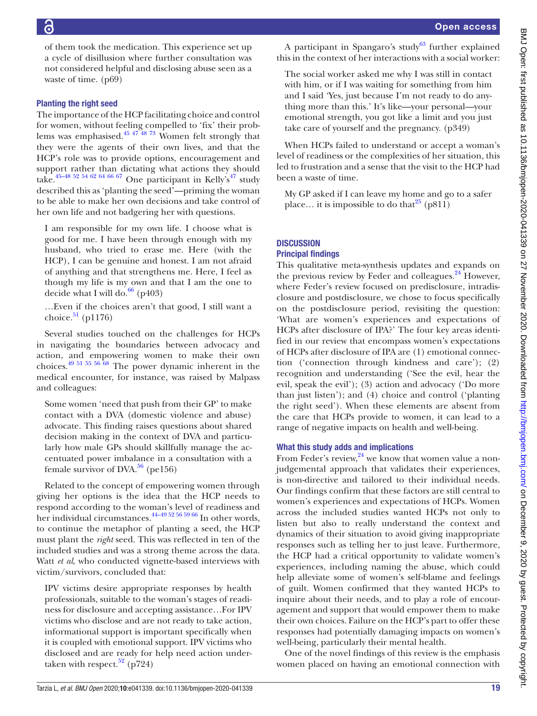of them took the medication. This experience set up a cycle of disillusion where further consultation was not considered helpful and disclosing abuse seen as a waste of time. (p69)

#### Planting the right seed

The importance of the HCP facilitating choice and control for women, without feeling compelled to 'fix' their problems was emphasised. $45 \frac{47 \times 48}{17}$  Women felt strongly that they were the agents of their own lives, and that the HCP's role was to provide options, encouragement and support rather than dictating what actions they should take.<sup>45–48 52 54 62 64 66 67</sup> One participant in Kelly's<sup>47</sup> study described this as 'planting the seed'—priming the woman to be able to make her own decisions and take control of her own life and not badgering her with questions.

I am responsible for my own life. I choose what is good for me. I have been through enough with my husband, who tried to erase me. Here (with the HCP), I can be genuine and honest. I am not afraid of anything and that strengthens me. Here, I feel as though my life is my own and that I am the one to decide what I will do.<sup>66</sup> (p403)

…Even if the choices aren't that good, I still want a choice. $51$  (p1176)

Several studies touched on the challenges for HCPs in navigating the boundaries between advocacy and action, and empowering women to make their own choices[.49 51 55 56 68](#page-22-35) The power dynamic inherent in the medical encounter, for instance, was raised by Malpass and colleagues:

Some women 'need that push from their GP' to make contact with a DVA (domestic violence and abuse) advocate. This finding raises questions about shared decision making in the context of DVA and particularly how male GPs should skillfully manage the accentuated power imbalance in a consultation with a female survivor of DVA. $^{56}$  $^{56}$  $^{56}$  (pe156)

Related to the concept of empowering women through giving her options is the idea that the HCP needs to respond according to the woman's level of readiness and her individual circumstances.[44–49 52 56 59 66](#page-22-30) In other words, to continue the metaphor of planting a seed, the HCP must plant the *right* seed. This was reflected in ten of the included studies and was a strong theme across the data. Watt *et al*, who conducted vignette-based interviews with victim/survivors, concluded that:

IPV victims desire appropriate responses by health professionals, suitable to the woman's stages of readiness for disclosure and accepting assistance…For IPV victims who disclose and are not ready to take action, informational support is important specifically when it is coupled with emotional support. IPV victims who disclosed and are ready for help need action undertaken with respect. $52$  (p724)

Open access

A participant in Spangaro's study<sup>[63](#page-23-20)</sup> further explained this in the context of her interactions with a social worker:

The social worker asked me why I was still in contact with him, or if I was waiting for something from him and I said 'Yes, just because I'm not ready to do anything more than this.' It's like—your personal—your emotional strength, you got like a limit and you just take care of yourself and the pregnancy. (p349)

When HCPs failed to understand or accept a woman's level of readiness or the complexities of her situation, this led to frustration and a sense that the visit to the HCP had been a waste of time.

My GP asked if I can leave my home and go to a safer place… it is impossible to do that  $2^5$  (p811)

## **DISCUSSION**

#### **Principal findings**

This qualitative meta-synthesis updates and expands on the previous review by Feder and colleagues. $^{24}$  However, where Feder's review focused on predisclosure, intradisclosure and postdisclosure, we chose to focus specifically on the postdisclosure period, revisiting the question: 'What are women's experiences and expectations of HCPs after disclosure of IPA?' The four key areas identified in our review that encompass women's expectations of HCPs after disclosure of IPA are (1) emotional connection ('connection through kindness and care'); (2) recognition and understanding ('See the evil, hear the evil, speak the evil'); (3) action and advocacy ('Do more than just listen'); and (4) choice and control ('planting the right seed'). When these elements are absent from the care that HCPs provide to women, it can lead to a range of negative impacts on health and well-being.

#### What this study adds and implications

From Feder's review, $^{24}$  we know that women value a nonjudgemental approach that validates their experiences, is non-directive and tailored to their individual needs. Our findings confirm that these factors are still central to women's experiences and expectations of HCPs. Women across the included studies wanted HCPs not only to listen but also to really understand the context and dynamics of their situation to avoid giving inappropriate responses such as telling her to just leave. Furthermore, the HCP had a critical opportunity to validate women's experiences, including naming the abuse, which could help alleviate some of women's self-blame and feelings of guilt. Women confirmed that they wanted HCPs to inquire about their needs, and to play a role of encouragement and support that would empower them to make their own choices. Failure on the HCP's part to offer these responses had potentially damaging impacts on women's well-being, particularly their mental health.

One of the novel findings of this review is the emphasis women placed on having an emotional connection with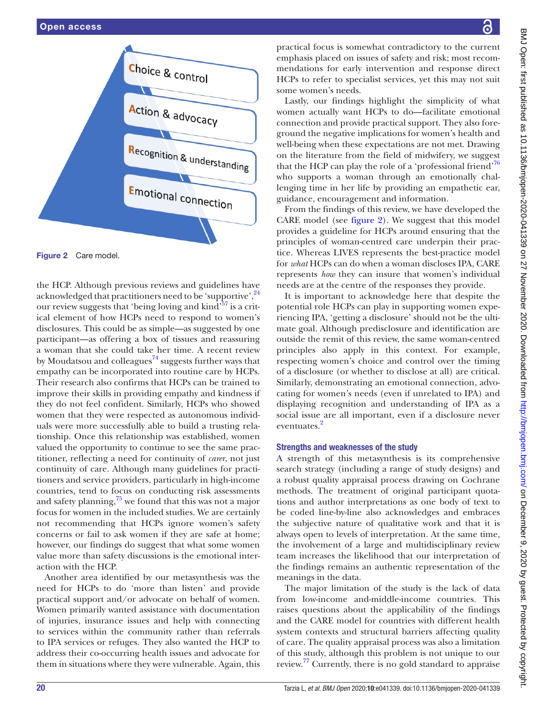

<span id="page-20-0"></span>Figure 2 Care model.

the HCP. Although previous reviews and guidelines have acknowledged that practitioners need to be 'supportive',  $24$ our review suggests that 'being loving and kind $57'$  is a critical element of how HCPs need to respond to women's disclosures. This could be as simple—as suggested by one participant—as offering a box of tissues and reassuring a woman that she could take her time. A recent review by Moudatsou and colleagues<sup>74</sup> suggests further ways that empathy can be incorporated into routine care by HCPs. Their research also confirms that HCPs can be trained to improve their skills in providing empathy and kindness if they do not feel confident. Similarly, HCPs who showed women that they were respected as autonomous individuals were more successfully able to build a trusting relationship. Once this relationship was established, women valued the opportunity to continue to see the same practitioner, reflecting a need for continuity of *carer*, not just continuity of care. Although many guidelines for practitioners and service providers, particularly in high-income countries, tend to focus on conducting risk assessments and safety planning, $\frac{75}{10}$  we found that this was not a major focus for women in the included studies. We are certainly not recommending that HCPs ignore women's safety concerns or fail to ask women if they are safe at home; however, our findings do suggest that what some women value more than safety discussions is the emotional interaction with the HCP.

Another area identified by our metasynthesis was the need for HCPs to do 'more than listen' and provide practical support and/or advocate on behalf of women. Women primarily wanted assistance with documentation of injuries, insurance issues and help with connecting to services within the community rather than referrals to IPA services or refuges. They also wanted the HCP to address their co-occurring health issues and advocate for them in situations where they were vulnerable. Again, this

practical focus is somewhat contradictory to the current emphasis placed on issues of safety and risk; most recommendations for early intervention and response direct HCPs to refer to specialist services, yet this may not suit some women's needs.

Lastly, our findings highlight the simplicity of what women actually want HCPs to do—facilitate emotional connection and provide practical support. They also foreground the negative implications for women's health and well-being when these expectations are not met. Drawing on the literature from the field of midwifery, we suggest that the HCP can play the role of a 'professional friend'<sup>76</sup> who supports a woman through an emotionally challenging time in her life by providing an empathetic ear, guidance, encouragement and information.

From the findings of this review, we have developed the CARE model (see [figure 2](#page-20-0)). We suggest that this model provides a guideline for HCPs around ensuring that the principles of woman-centred care underpin their practice. Whereas LIVES represents the best-practice model for *what* HCPs can do when a woman discloses IPA, CARE represents *how* they can insure that women's individual needs are at the centre of the responses they provide.

It is important to acknowledge here that despite the potential role HCPs can play in supporting women experiencing IPA, 'getting a disclosure' should not be the ultimate goal. Although predisclosure and identification are outside the remit of this review, the same woman-centred principles also apply in this context. For example, respecting women's choice and control over the timing of a disclosure (or whether to disclose at all) are critical. Similarly, demonstrating an emotional connection, advocating for women's needs (even if unrelated to IPA) and displaying recognition and understanding of IPA as a social issue are all important, even if a disclosure never eventuates.<sup>2</sup>

#### Strengths and weaknesses of the study

 be coded line-by-line also acknowledges and embraces A strength of this metasynthesis is its comprehensive search strategy (including a range of study designs) and a robust quality appraisal process drawing on Cochrane methods. The treatment of original participant quotations and author interpretations as one body of text to the subjective nature of qualitative work and that it is always open to levels of interpretation. At the same time, the involvement of a large and multidisciplinary review team increases the likelihood that our interpretation of the findings remains an authentic representation of the meanings in the data.

 from low-income and-middle-income countries. This The major limitation of the study is the lack of data raises questions about the applicability of the findings and the CARE model for countries with different health system contexts and structural barriers affecting quality of care. The quality appraisal process was also a limitation of this study, although this problem is not unique to our review.[77](#page-23-27) Currently, there is no gold standard to appraise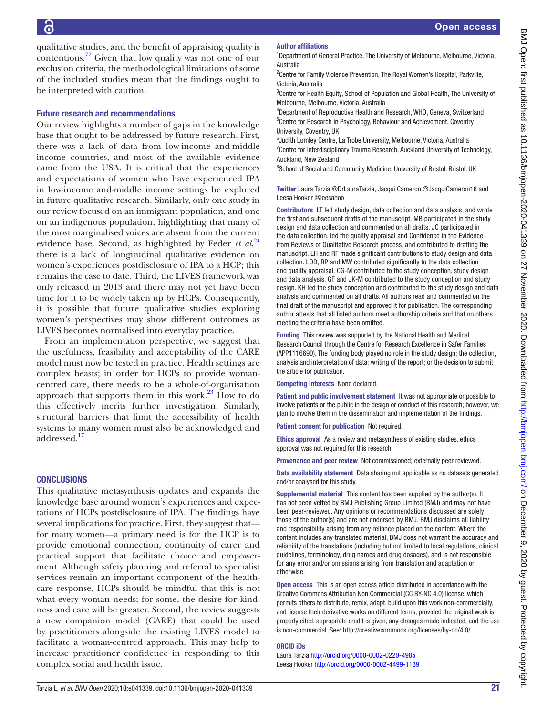qualitative studies, and the benefit of appraising quality is contentious[.77](#page-23-27) Given that low quality was not one of our exclusion criteria, the methodological limitations of some of the included studies mean that the findings ought to be interpreted with caution.

#### Future research and recommendations

Our review highlights a number of gaps in the knowledge base that ought to be addressed by future research. First, there was a lack of data from low-income and-middle income countries, and most of the available evidence came from the USA. It is critical that the experiences and expectations of women who have experienced IPA in low-income and-middle income settings be explored in future qualitative research. Similarly, only one study in our review focused on an immigrant population, and one on an indigenous population, highlighting that many of the most marginalised voices are absent from the current evidence base. Second, as highlighted by Feder *et al*,<sup>[24](#page-22-10)</sup> there is a lack of longitudinal qualitative evidence on women's experiences postdisclosure of IPA to a HCP; this remains the case to date. Third, the LIVES framework was only released in 2013 and there may not yet have been time for it to be widely taken up by HCPs. Consequently, it is possible that future qualitative studies exploring women's perspectives may show different outcomes as LIVES becomes normalised into everyday practice.

 centred care, there needs to be a whole-of-organisation From an implementation perspective, we suggest that the usefulness, feasibility and acceptability of the CARE model must now be tested in practice. Health settings are complex beasts; in order for HCPs to provide womanapproach that supports them in this work. $^{23}$  How to do this effectively merits further investigation. Similarly, structural barriers that limit the accessibility of health systems to many women must also be acknowledged and addressed.<sup>17</sup>

#### **CONCLUSIONS**

This qualitative metasynthesis updates and expands the knowledge base around women's experiences and expectations of HCPs postdisclosure of IPA. The findings have several implications for practice. First, they suggest that for many women—a primary need is for the HCP is to provide emotional connection, continuity of carer and practical support that facilitate choice and empowerment. Although safety planning and referral to specialist services remain an important component of the healthcare response, HCPs should be mindful that this is not what every woman needs; for some, the desire for kindness and care will be greater. Second, the review suggests a new companion model (CARE) that could be used by practitioners alongside the existing LIVES model to facilitate a woman-centred approach. This may help to increase practitioner confidence in responding to this complex social and health issue.

#### Author affliations

<sup>1</sup>Department of General Practice, The University of Melbourne, Melbourne, Victoria, Australia

<sup>2</sup> Centre for Family Violence Prevention, The Royal Women's Hospital, Parkville, Victoria, Australia

<sup>3</sup> Centre for Health Equity, School of Population and Global Health, The University of Melbourne, Melbourne, Victoria, Australia

4 Department of Reproductive Health and Research, WHO, Geneva, Switzerland 5 Centre for Research in Psychology, Behaviour and Achievement, Coventry University, Coventry, UK

 6 Judith Lumley Centre, La Trobe University, Melbourne, Victoria, Australia <sup>7</sup> Centre for Interdisciplinary Trauma Research, Auckland University of Technology, Auckland, New Zealand

<sup>8</sup>School of Social and Community Medicine, University of Bristol, Bristol, UK

Twitter Laura Tarzia [@DrLauraTarzia,](https://twitter.com/DrLauraTarzia) Jacqui Cameron [@JacquiCameron18](https://twitter.com/JacquiCameron18) and Leesa Hooker [@leesahoo](https://twitter.com/leesahoo) 

Contributors LT led study design, data collection and data analysis, and wrote the first and subsequent drafts of the manuscript. MB participated in the study design and data collection and commented on all drafts. JC participated in the data collection, led the quality appraisal and Confdence in the Evidence from Reviews of Qualitative Research process, and contributed to drafting the manuscript. LH and RF made significant contributions to study design and data collection. LOD, RP and MW contributed signifcantly to the data collection and quality appraisal. CG-M contributed to the study conception, study design and data analysis. GF and JK-M contributed to the study conception and study design. KH led the study conception and contributed to the study design and data analysis and commented on all drafts. All authors read and commented on the final draft of the manuscript and approved it for publication. The corresponding author attests that all listed authors meet authorship criteria and that no others meeting the criteria have been omitted.

Funding This review was supported by the National Health and Medical Research Council through the Centre for Research Excellence in Safer Families (APP1116690). The funding body played no role in the study design; the collection, analysis and interpretation of data; writing of the report; or the decision to submit the article for publication.

Competing interests None declared.

Patient and public involvement statement It was not appropriate or possible to involve patients or the public in the design or conduct of this research; however, we plan to involve them in the dissemination and implementation of the fndings.

Patient consent for publication Not required.

Ethics approval As a review and metasynthesis of existing studies, ethics approval was not required for this research.

Provenance and peer review Not commissioned; externally peer reviewed.

Data availability statement Data sharing not applicable as no datasets generated and/or analysed for this study.

 been peer-reviewed. Any opinions or recommendations discussed are solely and responsibility arising from any reliance placed on the content. Where the Supplemental material This content has been supplied by the author(s). It has not been vetted by BMJ Publishing Group Limited (BMJ) and may not have those of the author(s) and are not endorsed by BMJ. BMJ disclaims all liability content includes any translated material, BMJ does not warrant the accuracy and reliability of the translations (including but not limited to local regulations, clinical guidelines, terminology, drug names and drug dosages), and is not responsible for any error and/or omissions arising from translation and adaptation or otherwise.

 permits others to distribute, remix, adapt, build upon this work non-commercially, is non-commercial. See: [http://creativecommons.org/licenses/by-nc/4.0/.](http://creativecommons.org/licenses/by-nc/4.0/) Open access This is an open access article distributed in accordance with the Creative Commons Attribution Non Commercial (CC BY-NC 4.0) license, which and license their derivative works on different terms, provided the original work is properly cited, appropriate credit is given, any changes made indicated, and the use

#### ORCID iDs

 Laura Tarzia <http://orcid.org/0000-0002-0220-4985> Leesa Hooker<http://orcid.org/0000-0002-4499-1139>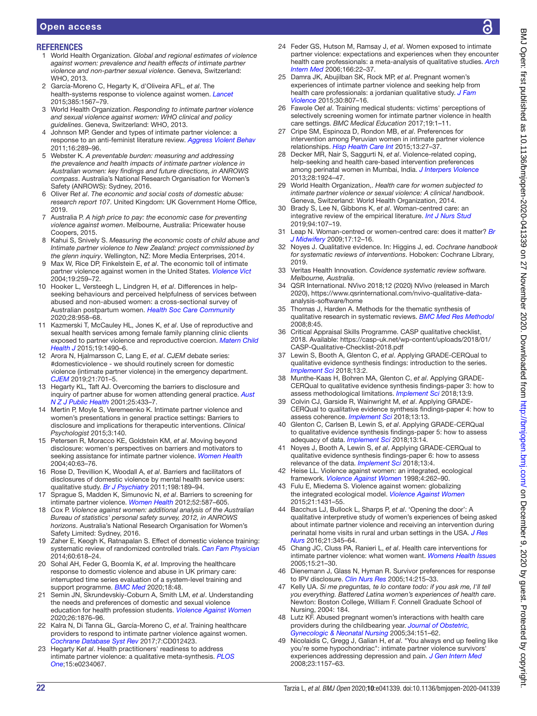#### Open access

- <span id="page-22-11"></span><span id="page-22-10"></span><span id="page-22-0"></span>1 World Health Organization. *Global and regional estimates of violence against women: prevalence and health effects of intimate partner violence and non-partner sexual violence*. Geneva, Switzerland: WHO, 2013.
- <span id="page-22-4"></span>2 García-Moreno C, Hegarty K, d'Oliveira AFL, *et al*. The health-systems response to violence against women. *[Lancet](http://dx.doi.org/10.1016/S0140-6736(14)61837-7)*  2015;385:1567–79.
- <span id="page-22-15"></span><span id="page-22-12"></span>3 World Health Organization. *Responding to intimate partner violence and sexual violence against women: WHO clinical and policy guidelines*. Geneva, Switzerland: WHO, 2013.
- <span id="page-22-13"></span><span id="page-22-1"></span>4 Johnson MP. Gender and types of intimate partner violence: a response to an anti-feminist literature review. *[Aggress Violent Behav](http://dx.doi.org/10.1016/j.avb.2011.04.006)*  2011;16:289–96.
- <span id="page-22-14"></span><span id="page-22-2"></span>5 Webster K. *A preventable burden: measuring and addressing the prevalence and health impacts of intimate partner violence in Australian women: key fndings and future directions, in ANROWS compass*. Australia's National Research Organisation for Women's Safety (ANROWS): Sydney, 2016.
- <span id="page-22-16"></span><span id="page-22-3"></span>6 Oliver R*et al*. *The economic and social costs of domestic abuse:*  research report 107. United Kingdom: UK Government Home Office, 2019.
- <span id="page-22-18"></span><span id="page-22-17"></span>7 Australia P. *A high price to pay: the economic case for preventing violence against women*. Melbourne, Australia: Pricewater house Coopers, 2015.
- <span id="page-22-19"></span>8 Kahui S, Snively S. *Measuring the economic costs of child abuse and Intimate partner violence to New Zealand: project commissioned by the glenn inquiry*. Wellington, NZ: More Media Enterprises, 2014.
- <span id="page-22-21"></span><span id="page-22-20"></span>9 Max W, Rice DP, Finkelstein E, *et al*. The economic toll of intimate partner violence against women in the United States. *[Violence Vict](http://dx.doi.org/10.1891/vivi.19.3.259.65767)*  2004;19:259–72.
- <span id="page-22-5"></span> 10 Hooker L, Versteegh L, Lindgren H, *et al*. Differences in helpseeking behaviours and perceived helpfulness of services between abused and non-abused women: a cross-sectional survey of Australian postpartum women. *[Health Soc Care Community](http://dx.doi.org/10.1111/hsc.12927)*  2020;28:958–68.
- <span id="page-22-23"></span><span id="page-22-22"></span> 11 Kazmerski T, McCauley HL, Jones K, *et al*. Use of reproductive and sexual health services among female family planning clinic clients exposed to partner violence and reproductive coercion. *[Matern Child](http://dx.doi.org/10.1007/s10995-014-1653-2)  [Health J](http://dx.doi.org/10.1007/s10995-014-1653-2)* 2015;19:1490–6.
- <span id="page-22-24"></span><span id="page-22-6"></span> 12 Arora N, Hjalmarsson C, Lang E, *et al*. *CJEM* debate series: #domesticviolence - we should routinely screen for domestic violence (intimate partner violence) in the emergency department. *[CJEM](http://dx.doi.org/10.1017/cem.2019.358)* 2019;21:701–5.
- <span id="page-22-25"></span><span id="page-22-7"></span> 13 Hegarty KL, Taft AJ. Overcoming the barriers to disclosure and inquiry of partner abuse for women attending general practice. *[Aust](http://dx.doi.org/10.1111/j.1467-842X.2001.tb00288.x)  [N Z J Public Health](http://dx.doi.org/10.1111/j.1467-842X.2001.tb00288.x)* 2001;25:433–7.
- <span id="page-22-27"></span><span id="page-22-26"></span> 14 Mertin P, Moyle S, Veremeenko K. Intimate partner violence and women's presentations in general practice settings: Barriers to disclosure and implications for therapeutic interventions. *Clinical Psychologist* 2015;3:140.
- <span id="page-22-28"></span> 15 Petersen R, Moracco KE, Goldstein KM, *et al*. Moving beyond disclosure: women's perspectives on barriers and motivators to seeking assistance for intimate partner violence. *[Women Health](http://dx.doi.org/10.1300/J013v40n03_05)*  2004;40:63–76.
- <span id="page-22-29"></span> 16 Rose D, Trevillion K, Woodall A, *et al*. Barriers and facilitators of disclosures of domestic violence by mental health service users: qualitative study. *[Br J Psychiatry](http://dx.doi.org/10.1192/bjp.bp.109.072389)* 2011;198:189–94.
- <span id="page-22-37"></span><span id="page-22-30"></span> $17$ 17 Sprague S, Madden K, Simunovic N, *et al*. Barriers to screening for intimate partner violence. *[Women Health](http://dx.doi.org/10.1080/03630242.2012.690840)* 2012;52:587–605.
- 18 Cox P. *Violence against women: additional analysis of the Australian Bureau of statistics' personal safety survey, 2012, in ANROWS horizons*. Australia's National Research Organisation for Women's Safety Limited: Sydney, 2016.
- <span id="page-22-34"></span><span id="page-22-8"></span> 19 Zaher E, Keogh K, Ratnapalan S. Effect of domestic violence training: systematic review of randomized controlled trials. *[Can Fam Physician](http://www.ncbi.nlm.nih.gov/pubmed/http://www.ncbi.nlm.nih.gov/pubmed/25022633)*  2014;60:618–24.
- <span id="page-22-32"></span> 20 Sohal AH, Feder G, Boomla K, *et al*. Improving the healthcare response to domestic violence and abuse in UK primary care: interrupted time series evaluation of a system-level training and support programme. *[BMC Med](http://dx.doi.org/10.1186/s12916-020-1506-3)* 2020;18:48.
- <span id="page-22-33"></span> 21 Semin JN, Skrundevskiy-Coburn A, Smith LM, *et al*. Understanding the needs and preferences of domestic and sexual violence education for health profession students. *[Violence Against Women](http://dx.doi.org/10.1177/1077801219890420)*  2020;26:1876–96.
- <span id="page-22-31"></span><span id="page-22-9"></span> 22 Kalra N, Di Tanna GL, García-Moreno C, *et al*. Training healthcare providers to respond to intimate partner violence against women. *[Cochrane Database Syst Rev](http://dx.doi.org/10.1002/14651858.CD012423)* 2017;7:CD012423.
- <span id="page-22-36"></span><span id="page-22-35"></span> 23 Hegarty K*et al*. Health practitioners' readiness to address intimate partner violence: a qualitative meta-synthesis. *[PLOS](http://dx.doi.org/10.1371/journal.pone.0234067)  [One](http://dx.doi.org/10.1371/journal.pone.0234067)*;15:e0234067.
- REFERENCES 24 Feder GS, Hutson M, Ramsay J, *et al*. Women exposed to intimate partner violence: expectations and experiences when they encounter health care professionals: a meta-analysis of qualitative studies. *[Arch](http://dx.doi.org/10.1001/archinte.166.1.22)  [Intern Med](http://dx.doi.org/10.1001/archinte.166.1.22)* 2006;166:22–37.
	- 25 Damra JK, Abujilban SK, Rock MP, *et al*. Pregnant women's experiences of intimate partner violence and seeking help from health care professionals: a jordanian qualitative study. *[J Fam](http://dx.doi.org/10.1007/s10896-015-9720-z)  [Violence](http://dx.doi.org/10.1007/s10896-015-9720-z)* 2015;30:807–16.
	- 26 Fawole O*et al*. Training medical students: victims' perceptions of selectively screening women for intimate partner violence in health care settings. *BMC Medical Education* 2017;19:1–11.
	- 27 Cripe SM, Espinoza D, Rondon MB, *et al*. Preferences for intervention among Peruvian women in intimate partner violence relationships. *[Hisp Health Care Int](http://dx.doi.org/10.1891/1540-4153.13.1.27)* 2015;13:27–37.
	- 28 Decker MR, Nair S, Saggurti N, *et al*. Violence-related coping, help-seeking and health care-based intervention preferences among perinatal women in Mumbai, India. *[J Interpers Violence](http://dx.doi.org/10.1177/0886260512469105)*  2013;28:1924–47.
	- 29 World Health Organization,. *Health care for women subjected to intimate partner violence or sexual violence: A clinical handbook*. Geneva, Switzerland: World Health Organization, 2014.
	- 30 Brady S, Lee N, Gibbons K, *et al*. Woman-centred care: an integrative review of the empirical literature. *[Int J Nurs Stud](http://dx.doi.org/10.1016/j.ijnurstu.2019.01.001)*  2019;94:107–19.
	- 31 Leap N. Woman-centred or women-centred care: does it matter? *[Br](http://dx.doi.org/10.12968/bjom.2009.17.1.37646)  [J Midwifery](http://dx.doi.org/10.12968/bjom.2009.17.1.37646)* 2009;17:12–16.
	- 32 Noyes J. Qualitative evidence. In: Higgins J, ed. *Cochrane handbook for systematic reviews of interventions*. Hoboken: Cochrane Library, 2019.
	- 33 Veritas Health Innovation. *Covidence systematic review software. Melbourne, Australia*.
	- 34 [2020\), https://www.qsrinternational.com/nvivo-qualitative-data-]((2020)%20NVivo%20(released%20in%20March%202020),%20https://www.qsrinternational.com/nvivo-qualitative-data-analysis-software/home) [analysis-software/home]((2020)%20NVivo%20(released%20in%20March%202020),%20https://www.qsrinternational.com/nvivo-qualitative-data-analysis-software/home)  QSR International. NVivo 2018;12 (2020) NVivo (released in March
	- Thomas J, Harden A. Methods for the thematic synthesis of qualitative research in systematic reviews. *[BMC Med Res Methodol](http://dx.doi.org/10.1186/1471-2288-8-45)*  2008;8:45.
	- 36 Critical Appraisal Skills Programme. CASP qualitative checklist, 2018. Available: [https://casp-uk.net/wp-content/uploads/2018/01/](https://casp-uk.net/wp-content/uploads/2018/01/CASP-Qualitative-Checklist-2018.pdf)  [CASP-Qualitative-Checklist-2018.pdf](https://casp-uk.net/wp-content/uploads/2018/01/CASP-Qualitative-Checklist-2018.pdf)
	- 37 Lewin S, Booth A, Glenton C, *et al*. Applying GRADE-CERQual to qualitative evidence synthesis fndings: introduction to the series. *[Implement Sci](http://dx.doi.org/10.1186/s13012-017-0688-3)* 2018;13:2.
	- 38 Munthe-Kaas H, Bohren MA, Glenton C, *et al*. Applying GRADE-CERQual to qualitative evidence synthesis fndings-paper 3: how to assess methodological limitations. *[Implement Sci](http://dx.doi.org/10.1186/s13012-017-0690-9)* 2018;13:9.
	- $39^{\circ}$ 39 Colvin CJ, Garside R, Wainwright M, *et al*. Applying GRADE-CERQual to qualitative evidence synthesis fndings-paper 4: how to assess coherence. *[Implement Sci](http://dx.doi.org/10.1186/s13012-017-0691-8)* 2018;13:13.
	- 40 Glenton C, Carlsen B, Lewin S, *et al*. Applying GRADE-CERQual to qualitative evidence synthesis fndings-paper 5: how to assess adequacy of data. *[Implement Sci](http://dx.doi.org/10.1186/s13012-017-0692-7)* 2018;13:14.
	- 41 Noyes J, Booth A, Lewin S, *et al*. Applying GRADE-CERQual to qualitative evidence synthesis fndings-paper 6: how to assess relevance of the data. *[Implement Sci](http://dx.doi.org/10.1186/s13012-017-0693-6)* 2018;13:4.
	- 42 Heise LL. Violence against women: an integrated, ecological framework. *[Violence Against Women](http://dx.doi.org/10.1177/1077801298004003002)* 1998;4:262–90.
	- 43 Fulu E, Miedema S. Violence against women: globalizing the integrated ecological model. *[Violence Against Women](http://dx.doi.org/10.1177/1077801215596244)*  2015;21:1431–55.
	- 44 Bacchus LJ, Bullock L, Sharps P, *et al*. 'Opening the door': A qualitative interpretive study of women's experiences of being asked about intimate partner violence and receiving an intervention during perinatal home visits in rural and urban settings in the USA. *[J Res](http://dx.doi.org/10.1177/1744987116649634)  [Nurs](http://dx.doi.org/10.1177/1744987116649634)* 2016;21:345–64.
	- 45 Chang JC, Cluss PA, Ranieri L, *et al*. Health care interventions for intimate partner violence: what women want. *[Womens Health Issues](http://dx.doi.org/10.1016/j.whi.2004.08.007)*  2005;15:21–30.
	- 46 Dienemann J, Glass N, Hyman R. Survivor preferences for response to IPV disclosure. *[Clin Nurs Res](http://dx.doi.org/10.1177/1054773805275287)* 2005;14:215–33.
	- 47 Kelly UA. *Si me preguntas, te lo contare todo: if you ask me, I'll tell you everything. Battered Latina women's experiences of health care*. Newton: Boston College, William F. Connell Graduate School of Nursing, 2004: 184.
	- 48 Lutz KF. Abused pregnant women's interactions with health care providers during the childbearing year. *[Journal of Obstetric,](http://dx.doi.org/10.1177/0884217505274580)  [Gynecologic & Neonatal Nursing](http://dx.doi.org/10.1177/0884217505274580)* 2005;34:151–62.
	- 49 49 Nicolaidis C, Gregg J, Galian H, *et al*. "You always end up feeling like you're some hypochondriac": intimate partner violence survivors' experiences addressing depression and pain. *[J Gen Intern Med](http://dx.doi.org/10.1007/s11606-008-0606-0)*  2008;23:1157–63.